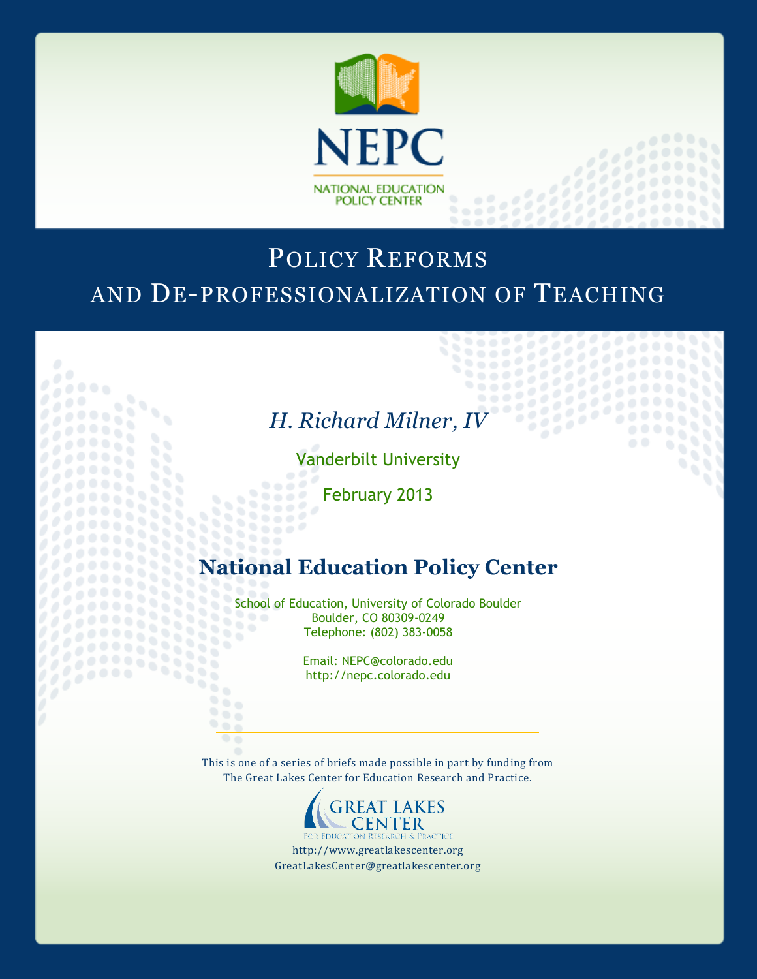

# POLICY REFORMS AND DE-PROFESSIONALIZATION OF TEACHING

 $0.0000$ 

55550

# *H. Richard Milner, IV*

Vanderbilt University

February 2013

,,,,, 1111

888

3338

šš

 $\mathbf{u}$ ۰

69

2222233333

## **National Education Policy Center**

School of Education, University of Colorado Boulder<br>Boulder, CO 80309-0249  $\bullet$ Boulder, CO 80309-0249 88 Telephone: (802) 383-0058

> Email: NEPC@colorado.edu http://nepc.colorado.edu

This is one of a series of briefs made possible in part by funding from The Great Lakes Center for Education Research and Practice.



http://www.greatlakescenter.org GreatLakesCenter@greatlakescenter.org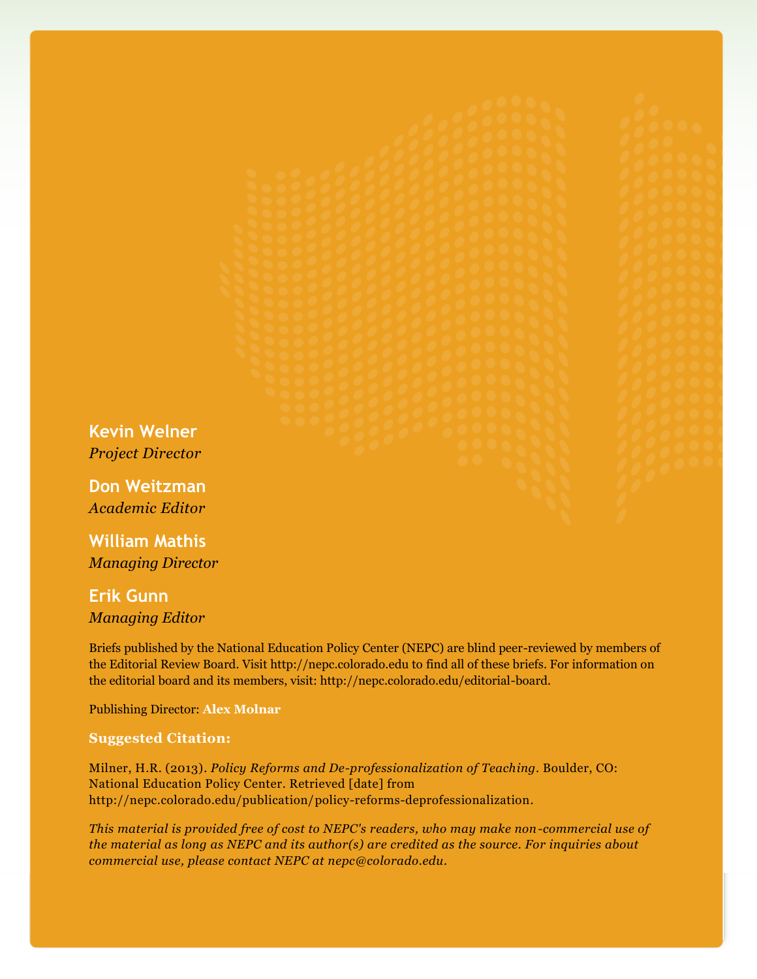**Kevin Welner** *Project Director*

**Don Weitzman** *Academic Editor*

**William Mathis** *Managing Director*

**Erik Gunn** *Managing Editor*

Briefs published by the National Education Policy Center (NEPC) are blind peer-reviewed by members of the Editorial Review Board. Visit http://nepc.colorado.edu to find all of these briefs. For information on the editorial board and its members, visit: http://nepc.colorado.edu/editorial-board.

Publishing Director: **Alex Molnar**

#### **Suggested Citation:**

Milner, H.R. (2013). *Policy Reforms and De-professionalization of Teaching*. Boulder, CO: National Education Policy Center. Retrieved [date] from http://nepc.colorado.edu/publication/policy-reforms-deprofessionalization.

*This material is provided free of cost to NEPC's readers, who may make non-commercial use of the material as long as NEPC and its author(s) are credited as the source. For inquiries about commercial use, please contact NEPC at nepc@colorado.edu.*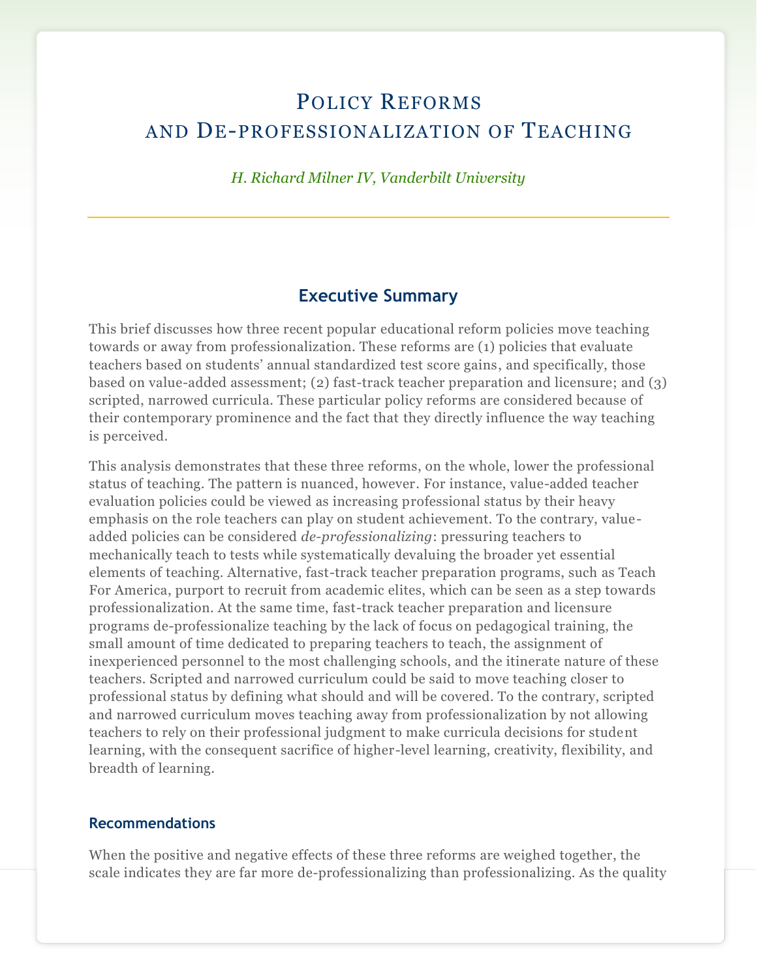## POLICY REFORMS AND DE-PROFESSIONALIZATION OF TEACHING

## *H. Richard Milner IV, Vanderbilt University*

## **Executive Summary**

This brief discusses how three recent popular educational reform policies move teaching towards or away from professionalization. These reforms are (1) policies that evaluate teachers based on students' annual standardized test score gains, and specifically, those based on value-added assessment; (2) fast-track teacher preparation and licensure; and (3) scripted, narrowed curricula. These particular policy reforms are considered because of their contemporary prominence and the fact that they directly influence the way teaching is perceived.

This analysis demonstrates that these three reforms, on the whole, lower the professional status of teaching. The pattern is nuanced, however. For instance, value-added teacher evaluation policies could be viewed as increasing professional status by their heavy emphasis on the role teachers can play on student achievement. To the contrary, valueadded policies can be considered *de-professionalizing*: pressuring teachers to mechanically teach to tests while systematically devaluing the broader yet essential elements of teaching. Alternative, fast-track teacher preparation programs, such as Teach For America, purport to recruit from academic elites, which can be seen as a step towards professionalization. At the same time, fast-track teacher preparation and licensure programs de-professionalize teaching by the lack of focus on pedagogical training, the small amount of time dedicated to preparing teachers to teach, the assignment of inexperienced personnel to the most challenging schools, and the itinerate nature of these teachers. Scripted and narrowed curriculum could be said to move teaching closer to professional status by defining what should and will be covered. To the contrary, scripted and narrowed curriculum moves teaching away from professionalization by not allowing teachers to rely on their professional judgment to make curricula decisions for student learning, with the consequent sacrifice of higher-level learning, creativity, flexibility, and breadth of learning.

#### **Recommendations**

When the positive and negative effects of these three reforms are weighed together, the scale indicates they are far more de-professionalizing than professionalizing. As the quality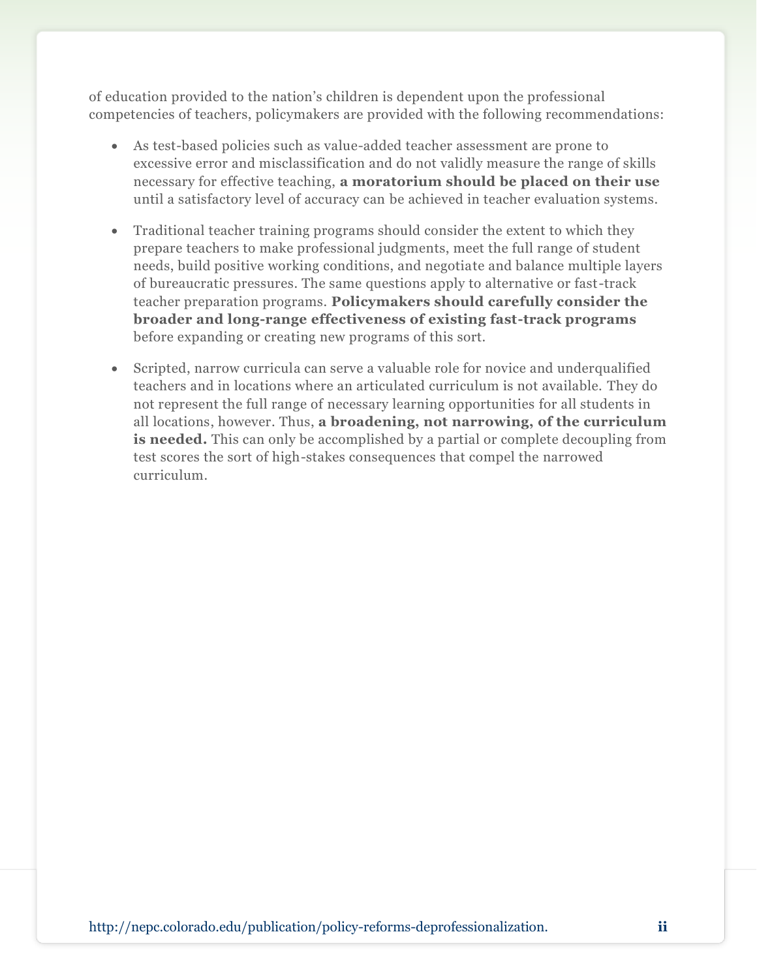of education provided to the nation's children is dependent upon the professional competencies of teachers, policymakers are provided with the following recommendations:

- As test-based policies such as value-added teacher assessment are prone to excessive error and misclassification and do not validly measure the range of skills necessary for effective teaching, **a moratorium should be placed on their use**  until a satisfactory level of accuracy can be achieved in teacher evaluation systems.
- Traditional teacher training programs should consider the extent to which they prepare teachers to make professional judgments, meet the full range of student needs, build positive working conditions, and negotiate and balance multiple layers of bureaucratic pressures. The same questions apply to alternative or fast-track teacher preparation programs. **Policymakers should carefully consider the broader and long-range effectiveness of existing fast-track programs**  before expanding or creating new programs of this sort.
- Scripted, narrow curricula can serve a valuable role for novice and underqualified teachers and in locations where an articulated curriculum is not available. They do not represent the full range of necessary learning opportunities for all students in all locations, however. Thus, **a broadening, not narrowing, of the curriculum is needed.** This can only be accomplished by a partial or complete decoupling from test scores the sort of high-stakes consequences that compel the narrowed curriculum.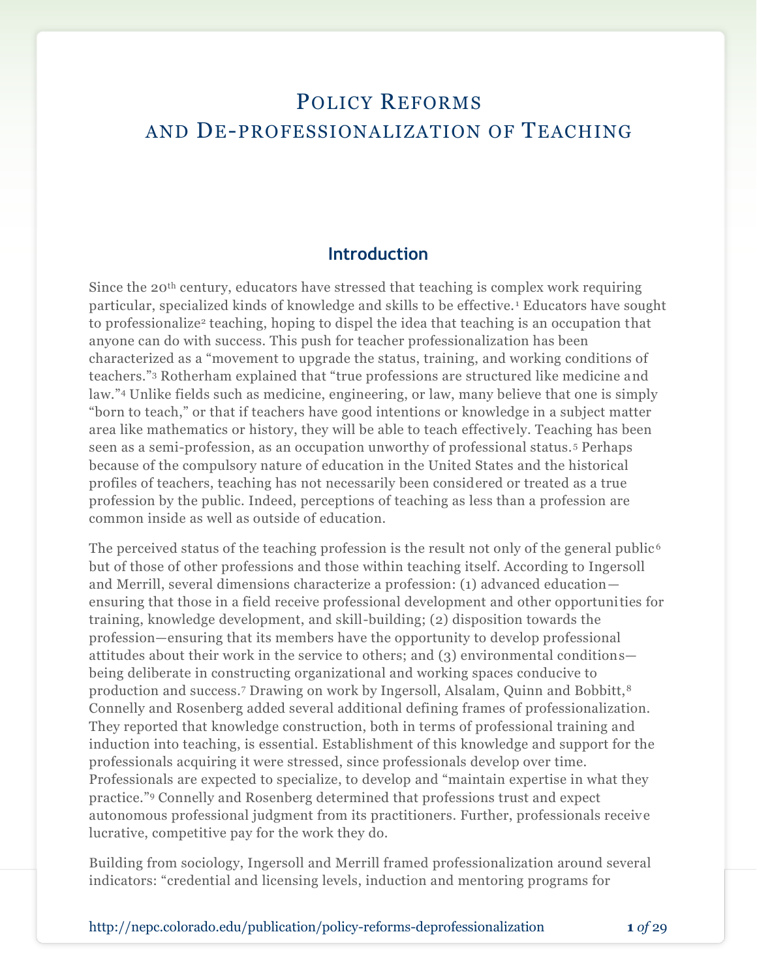## POLICY REFORMS AND DE-PROFESSIONALIZATION OF TEACHING

## **Introduction**

Since the 20th century, educators have stressed that teaching is complex work requiring particular, specialized kinds of knowledge and skills to be effective. <sup>1</sup> Educators have sought to professionalize<sup>2</sup> teaching, hoping to dispel the idea that teaching is an occupation that anyone can do with success. This push for teacher professionalization has been characterized as a "movement to upgrade the status, training, and working conditions of teachers."<sup>3</sup> Rotherham explained that "true professions are structured like medicine and law."<sup>4</sup> Unlike fields such as medicine, engineering, or law, many believe that one is simply "born to teach," or that if teachers have good intentions or knowledge in a subject matter area like mathematics or history, they will be able to teach effectively. Teaching has been seen as a semi-profession, as an occupation unworthy of professional status. <sup>5</sup> Perhaps because of the compulsory nature of education in the United States and the historical profiles of teachers, teaching has not necessarily been considered or treated as a true profession by the public. Indeed, perceptions of teaching as less than a profession are common inside as well as outside of education.

The perceived status of the teaching profession is the result not only of the general public<sup> $6$ </sup> but of those of other professions and those within teaching itself. According to Ingersoll and Merrill, several dimensions characterize a profession: (1) advanced education ensuring that those in a field receive professional development and other opportunities for training, knowledge development, and skill-building; (2) disposition towards the profession—ensuring that its members have the opportunity to develop professional attitudes about their work in the service to others; and (3) environmental conditions being deliberate in constructing organizational and working spaces conducive to production and success.7 Drawing on work by Ingersoll, Alsalam, Quinn and Bobbitt,<sup>8</sup> Connelly and Rosenberg added several additional defining frames of professionalization. They reported that knowledge construction, both in terms of professional training and induction into teaching, is essential. Establishment of this knowledge and support for the professionals acquiring it were stressed, since professionals develop over time. Professionals are expected to specialize, to develop and "maintain expertise in what they practice." <sup>9</sup> Connelly and Rosenberg determined that professions trust and expect autonomous professional judgment from its practitioners. Further, professionals receive lucrative, competitive pay for the work they do.

Building from sociology, Ingersoll and Merrill framed professionalization around several indicators: "credential and licensing levels, induction and mentoring programs for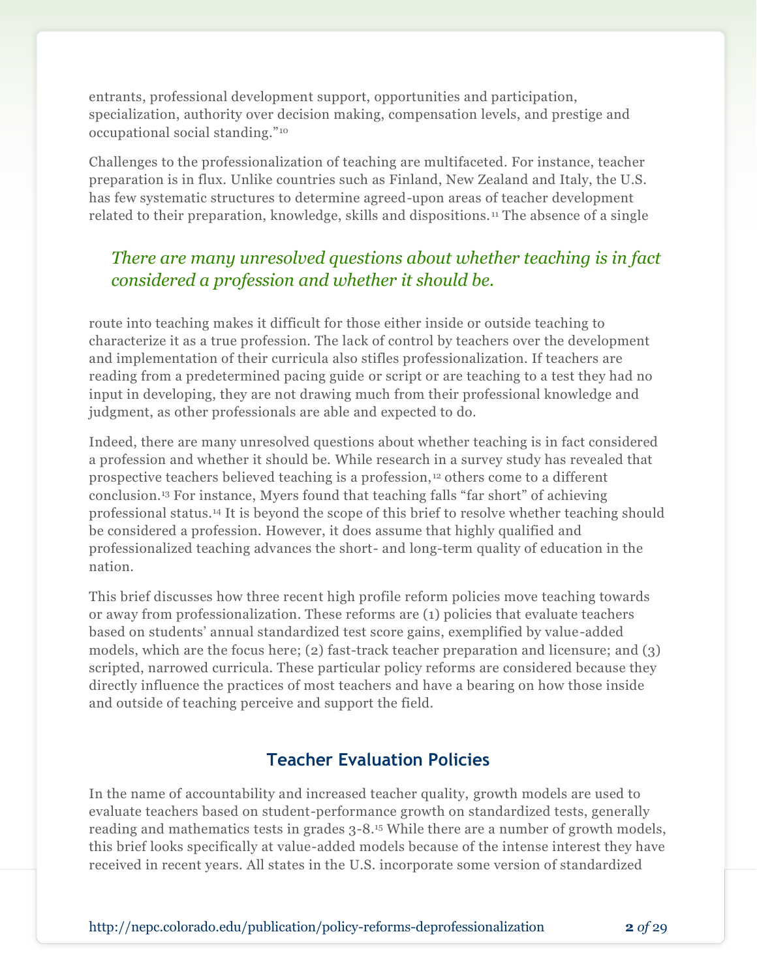entrants, professional development support, opportunities and participation, specialization, authority over decision making, compensation levels, and prestige and occupational social standing."<sup>10</sup>

Challenges to the professionalization of teaching are multifaceted. For instance, teacher preparation is in flux. Unlike countries such as Finland, New Zealand and Italy, the U.S. has few systematic structures to determine agreed-upon areas of teacher development related to their preparation, knowledge, skills and dispositions. <sup>11</sup> The absence of a single

## *There are many unresolved questions about whether teaching is in fact considered a profession and whether it should be.*

route into teaching makes it difficult for those either inside or outside teaching to characterize it as a true profession. The lack of control by teachers over the development and implementation of their curricula also stifles professionalization. If teachers are reading from a predetermined pacing guide or script or are teaching to a test they had no input in developing, they are not drawing much from their professional knowledge and judgment, as other professionals are able and expected to do.

Indeed, there are many unresolved questions about whether teaching is in fact considered a profession and whether it should be. While research in a survey study has revealed that prospective teachers believed teaching is a profession, <sup>12</sup> others come to a different conclusion.<sup>13</sup> For instance, Myers found that teaching falls "far short" of achieving professional status.<sup>14</sup> It is beyond the scope of this brief to resolve whether teaching should be considered a profession. However, it does assume that highly qualified and professionalized teaching advances the short- and long-term quality of education in the nation.

This brief discusses how three recent high profile reform policies move teaching towards or away from professionalization. These reforms are (1) policies that evaluate teachers based on students' annual standardized test score gains, exemplified by value-added models, which are the focus here; (2) fast-track teacher preparation and licensure; and (3) scripted, narrowed curricula. These particular policy reforms are considered because they directly influence the practices of most teachers and have a bearing on how those inside and outside of teaching perceive and support the field.

## **Teacher Evaluation Policies**

In the name of accountability and increased teacher quality, growth models are used to evaluate teachers based on student-performance growth on standardized tests, generally reading and mathematics tests in grades 3-8.<sup>15</sup> While there are a number of growth models, this brief looks specifically at value-added models because of the intense interest they have received in recent years. All states in the U.S. incorporate some version of standardized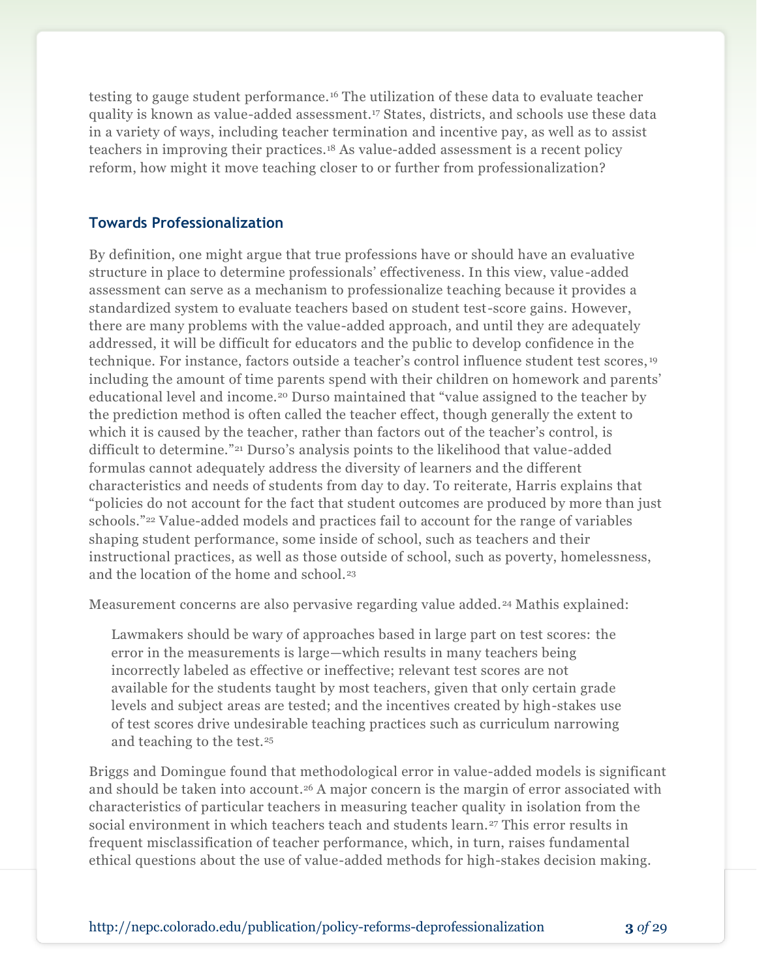testing to gauge student performance.<sup>16</sup> The utilization of these data to evaluate teacher quality is known as value-added assessment.<sup>17</sup> States, districts, and schools use these data in a variety of ways, including teacher termination and incentive pay, as well as to assist teachers in improving their practices.<sup>18</sup> As value-added assessment is a recent policy reform, how might it move teaching closer to or further from professionalization?

## **Towards Professionalization**

By definition, one might argue that true professions have or should have an evaluative structure in place to determine professionals' effectiveness. In this view, value-added assessment can serve as a mechanism to professionalize teaching because it provides a standardized system to evaluate teachers based on student test-score gains. However, there are many problems with the value-added approach, and until they are adequately addressed, it will be difficult for educators and the public to develop confidence in the technique. For instance, factors outside a teacher's control influence student test scores, <sup>19</sup> including the amount of time parents spend with their children on homework and parents' educational level and income.<sup>20</sup> Durso maintained that "value assigned to the teacher by the prediction method is often called the teacher effect, though generally the extent to which it is caused by the teacher, rather than factors out of the teacher's control, is difficult to determine."<sup>21</sup> Durso's analysis points to the likelihood that value-added formulas cannot adequately address the diversity of learners and the different characteristics and needs of students from day to day. To reiterate, Harris explains that "policies do not account for the fact that student outcomes are produced by more than just schools."<sup>22</sup> Value-added models and practices fail to account for the range of variables shaping student performance, some inside of school, such as teachers and their instructional practices, as well as those outside of school, such as poverty, homelessness, and the location of the home and school.<sup>23</sup>

Measurement concerns are also pervasive regarding value added.<sup>24</sup> Mathis explained:

Lawmakers should be wary of approaches based in large part on test scores: the error in the measurements is large—which results in many teachers being incorrectly labeled as effective or ineffective; relevant test scores are not available for the students taught by most teachers, given that only certain grade levels and subject areas are tested; and the incentives created by high-stakes use of test scores drive undesirable teaching practices such as curriculum narrowing and teaching to the test.<sup>25</sup>

Briggs and Domingue found that methodological error in value-added models is significant and should be taken into account. <sup>26</sup> A major concern is the margin of error associated with characteristics of particular teachers in measuring teacher quality in isolation from the social environment in which teachers teach and students learn.<sup>27</sup> This error results in frequent misclassification of teacher performance, which, in turn, raises fundamental ethical questions about the use of value-added methods for high-stakes decision making.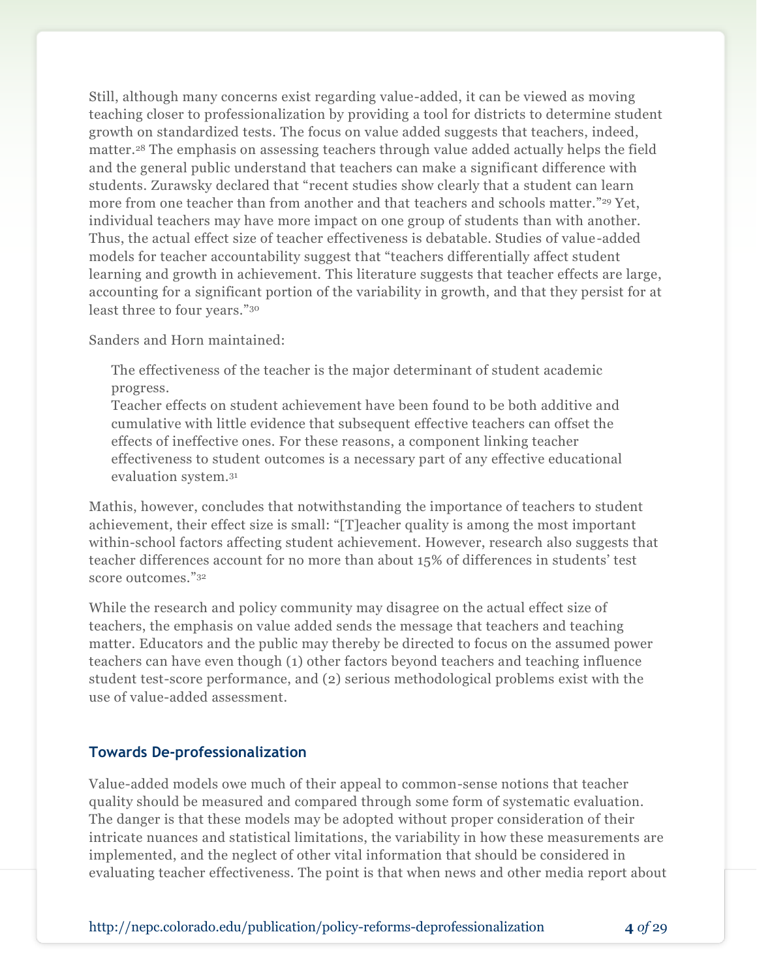Still, although many concerns exist regarding value-added, it can be viewed as moving teaching closer to professionalization by providing a tool for districts to determine student growth on standardized tests. The focus on value added suggests that teachers, indeed, matter.<sup>28</sup> The emphasis on assessing teachers through value added actually helps the field and the general public understand that teachers can make a significant difference with students. Zurawsky declared that "recent studies show clearly that a student can learn more from one teacher than from another and that teachers and schools matter." <sup>29</sup> Yet, individual teachers may have more impact on one group of students than with another. Thus, the actual effect size of teacher effectiveness is debatable. Studies of value-added models for teacher accountability suggest that "teachers differentially affect student learning and growth in achievement. This literature suggests that teacher effects are large, accounting for a significant portion of the variability in growth, and that they persist for at least three to four years."<sup>30</sup>

Sanders and Horn maintained:

The effectiveness of the teacher is the major determinant of student academic progress.

Teacher effects on student achievement have been found to be both additive and cumulative with little evidence that subsequent effective teachers can offset the effects of ineffective ones. For these reasons, a component linking teacher effectiveness to student outcomes is a necessary part of any effective educational evaluation system.<sup>31</sup>

Mathis, however, concludes that notwithstanding the importance of teachers to student achievement, their effect size is small: "[T]eacher quality is among the most important within-school factors affecting student achievement. However, research also suggests that teacher differences account for no more than about 15% of differences in students' test score outcomes."<sup>32</sup>

While the research and policy community may disagree on the actual effect size of teachers, the emphasis on value added sends the message that teachers and teaching matter. Educators and the public may thereby be directed to focus on the assumed power teachers can have even though (1) other factors beyond teachers and teaching influence student test-score performance, and (2) serious methodological problems exist with the use of value-added assessment.

## **Towards De-professionalization**

Value-added models owe much of their appeal to common-sense notions that teacher quality should be measured and compared through some form of systematic evaluation. The danger is that these models may be adopted without proper consideration of their intricate nuances and statistical limitations, the variability in how these measurements are implemented, and the neglect of other vital information that should be considered in evaluating teacher effectiveness. The point is that when news and other media report about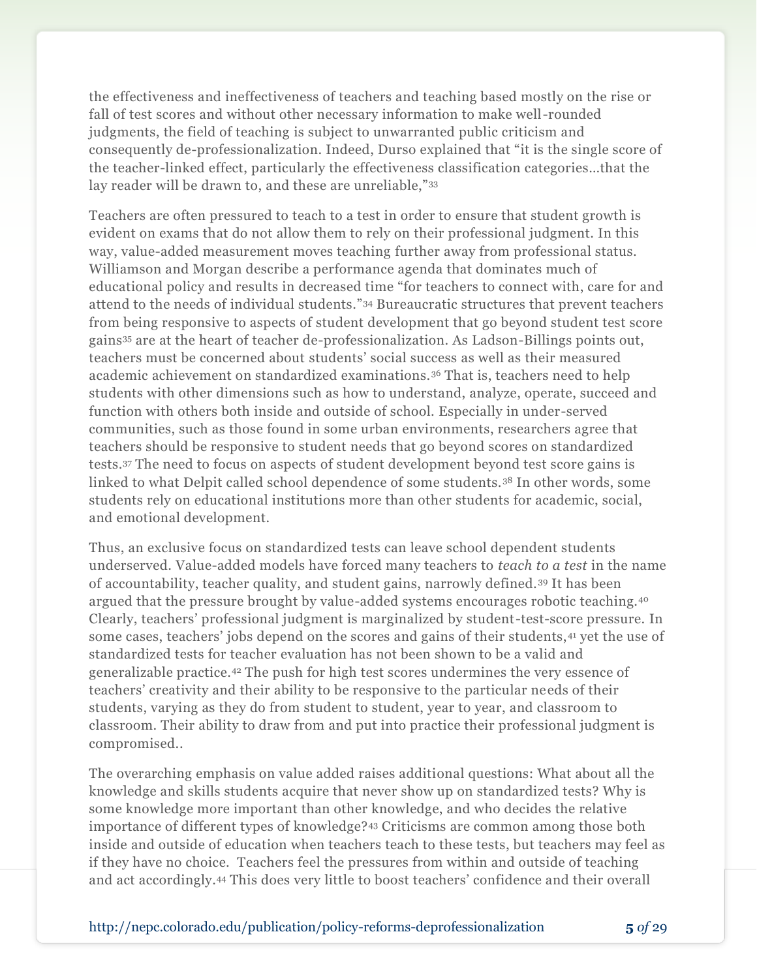the effectiveness and ineffectiveness of teachers and teaching based mostly on the rise or fall of test scores and without other necessary information to make well-rounded judgments, the field of teaching is subject to unwarranted public criticism and consequently de-professionalization. Indeed, Durso explained that "it is the single score of the teacher-linked effect, particularly the effectiveness classification categories…that the lay reader will be drawn to, and these are unreliable,"33

Teachers are often pressured to teach to a test in order to ensure that student growth is evident on exams that do not allow them to rely on their professional judgment. In this way, value-added measurement moves teaching further away from professional status. Williamson and Morgan describe a performance agenda that dominates much of educational policy and results in decreased time "for teachers to connect with, care for and attend to the needs of individual students."<sup>34</sup> Bureaucratic structures that prevent teachers from being responsive to aspects of student development that go beyond student test score gains<sup>35</sup> are at the heart of teacher de-professionalization. As Ladson-Billings points out, teachers must be concerned about students' social success as well as their measured academic achievement on standardized examinations.<sup>36</sup> That is, teachers need to help students with other dimensions such as how to understand, analyze, operate, succeed and function with others both inside and outside of school. Especially in under-served communities, such as those found in some urban environments, researchers agree that teachers should be responsive to student needs that go beyond scores on standardized tests.<sup>37</sup> The need to focus on aspects of student development beyond test score gains is linked to what Delpit called school dependence of some students. <sup>38</sup> In other words, some students rely on educational institutions more than other students for academic, social, and emotional development.

Thus, an exclusive focus on standardized tests can leave school dependent students underserved. Value-added models have forced many teachers to *teach to a test* in the name of accountability, teacher quality, and student gains, narrowly defined. <sup>39</sup> It has been argued that the pressure brought by value-added systems encourages robotic teaching.<sup>40</sup> Clearly, teachers' professional judgment is marginalized by student-test-score pressure. In some cases, teachers' jobs depend on the scores and gains of their students, <sup>41</sup> yet the use of standardized tests for teacher evaluation has not been shown to be a valid and generalizable practice.<sup>42</sup> The push for high test scores undermines the very essence of teachers' creativity and their ability to be responsive to the particular needs of their students, varying as they do from student to student, year to year, and classroom to classroom. Their ability to draw from and put into practice their professional judgment is compromised..

The overarching emphasis on value added raises additional questions: What about all the knowledge and skills students acquire that never show up on standardized tests? Why is some knowledge more important than other knowledge, and who decides the relative importance of different types of knowledge?<sup>43</sup> Criticisms are common among those both inside and outside of education when teachers teach to these tests, but teachers may feel as if they have no choice. Teachers feel the pressures from within and outside of teaching and act accordingly.<sup>44</sup> This does very little to boost teachers' confidence and their overall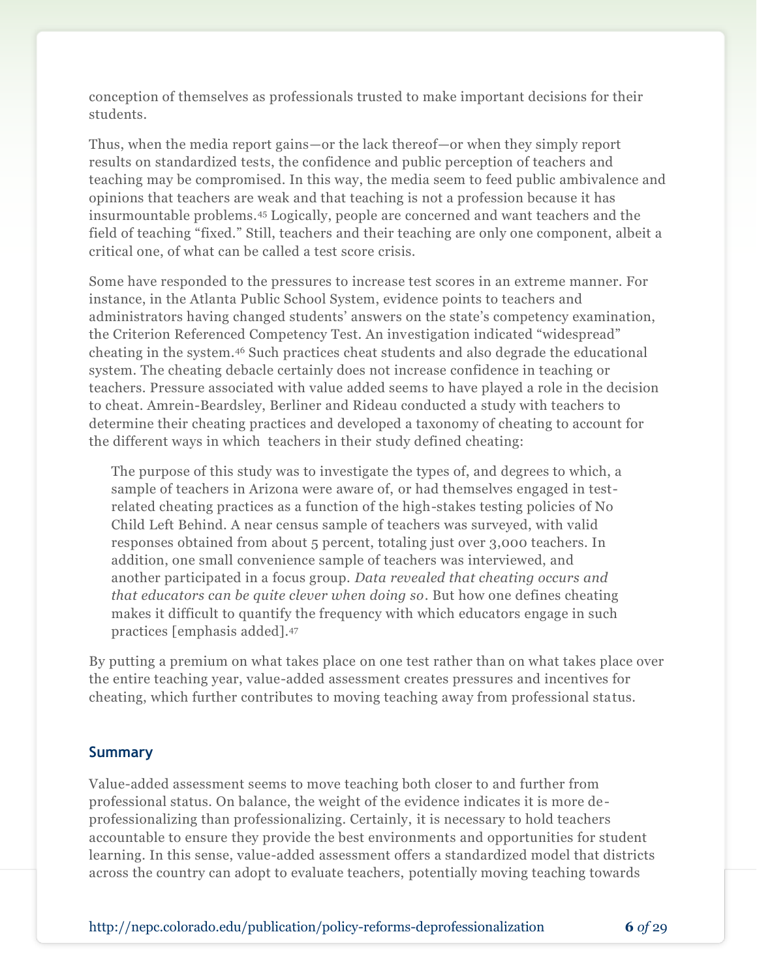conception of themselves as professionals trusted to make important decisions for their students.

Thus, when the media report gains—or the lack thereof—or when they simply report results on standardized tests, the confidence and public perception of teachers and teaching may be compromised. In this way, the media seem to feed public ambivalence and opinions that teachers are weak and that teaching is not a profession because it has insurmountable problems.<sup>45</sup> Logically, people are concerned and want teachers and the field of teaching "fixed." Still, teachers and their teaching are only one component, albeit a critical one, of what can be called a test score crisis.

Some have responded to the pressures to increase test scores in an extreme manner. For instance, in the Atlanta Public School System, evidence points to teachers and administrators having changed students' answers on the state's competency examination, the Criterion Referenced Competency Test. An investigation indicated "widespread" cheating in the system.<sup>46</sup> Such practices cheat students and also degrade the educational system. The cheating debacle certainly does not increase confidence in teaching or teachers. Pressure associated with value added seems to have played a role in the decision to cheat. Amrein-Beardsley, Berliner and Rideau conducted a study with teachers to determine their cheating practices and developed a taxonomy of cheating to account for the different ways in which teachers in their study defined cheating:

The purpose of this study was to investigate the types of, and degrees to which, a sample of teachers in Arizona were aware of, or had themselves engaged in testrelated cheating practices as a function of the high-stakes testing policies of No Child Left Behind. A near census sample of teachers was surveyed, with valid responses obtained from about 5 percent, totaling just over 3,000 teachers. In addition, one small convenience sample of teachers was interviewed, and another participated in a focus group. *Data revealed that cheating occurs and that educators can be quite clever when doing so*. But how one defines cheating makes it difficult to quantify the frequency with which educators engage in such practices [emphasis added]. 47

By putting a premium on what takes place on one test rather than on what takes place over the entire teaching year, value-added assessment creates pressures and incentives for cheating, which further contributes to moving teaching away from professional status.

## **Summary**

Value-added assessment seems to move teaching both closer to and further from professional status. On balance, the weight of the evidence indicates it is more deprofessionalizing than professionalizing. Certainly, it is necessary to hold teachers accountable to ensure they provide the best environments and opportunities for student learning. In this sense, value-added assessment offers a standardized model that districts across the country can adopt to evaluate teachers, potentially moving teaching towards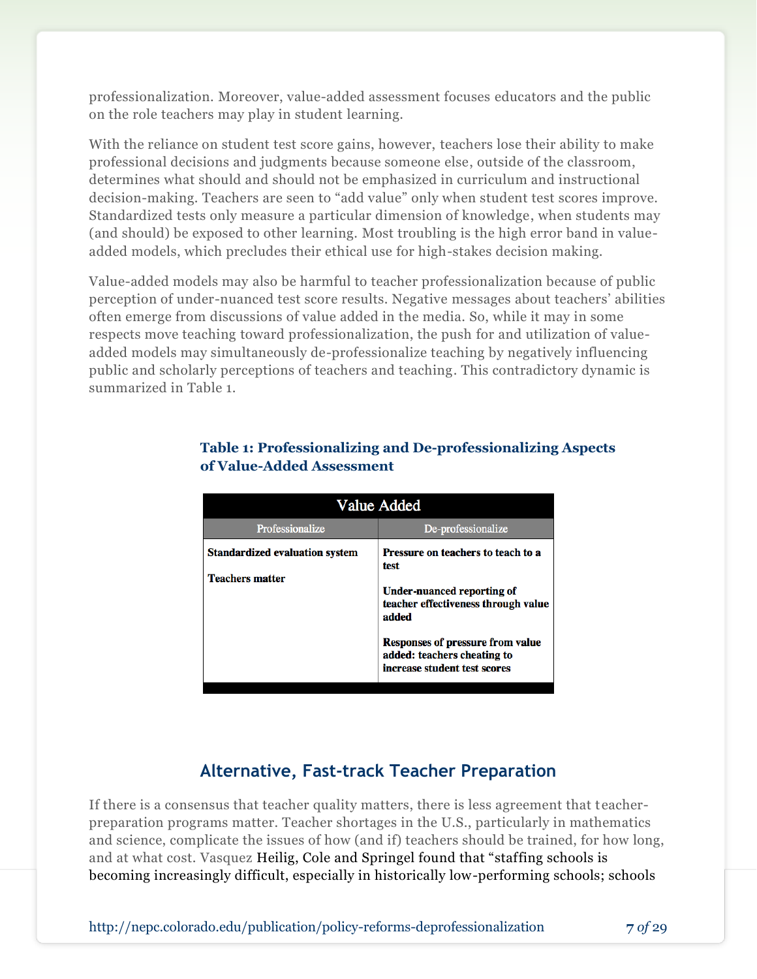professionalization. Moreover, value-added assessment focuses educators and the public on the role teachers may play in student learning.

With the reliance on student test score gains, however, teachers lose their ability to make professional decisions and judgments because someone else, outside of the classroom, determines what should and should not be emphasized in curriculum and instructional decision-making. Teachers are seen to "add value" only when student test scores improve. Standardized tests only measure a particular dimension of knowledge, when students may (and should) be exposed to other learning. Most troubling is the high error band in valueadded models, which precludes their ethical use for high-stakes decision making.

Value-added models may also be harmful to teacher professionalization because of public perception of under-nuanced test score results. Negative messages about teachers' abilities often emerge from discussions of value added in the media. So, while it may in some respects move teaching toward professionalization, the push for and utilization of valueadded models may simultaneously de-professionalize teaching by negatively influencing public and scholarly perceptions of teachers and teaching. This contradictory dynamic is summarized in Table 1.

| Value Added                                                     |                                                                                                                 |  |
|-----------------------------------------------------------------|-----------------------------------------------------------------------------------------------------------------|--|
| Professionalize                                                 | De-professionalize                                                                                              |  |
| <b>Standardized evaluation system</b><br><b>Teachers matter</b> | Pressure on teachers to teach to a<br>test<br>Under-nuanced reporting of<br>teacher effectiveness through value |  |
|                                                                 | added<br><b>Responses of pressure from value</b><br>added: teachers cheating to<br>increase student test scores |  |

## **Table 1: Professionalizing and De-professionalizing Aspects of Value-Added Assessment**

## **Alternative, Fast-track Teacher Preparation**

If there is a consensus that teacher quality matters, there is less agreement that teacherpreparation programs matter. Teacher shortages in the U.S., particularly in mathematics and science, complicate the issues of how (and if) teachers should be trained, for how long, and at what cost. Vasquez Heilig, Cole and Springel found that "staffing schools is becoming increasingly difficult, especially in historically low-performing schools; schools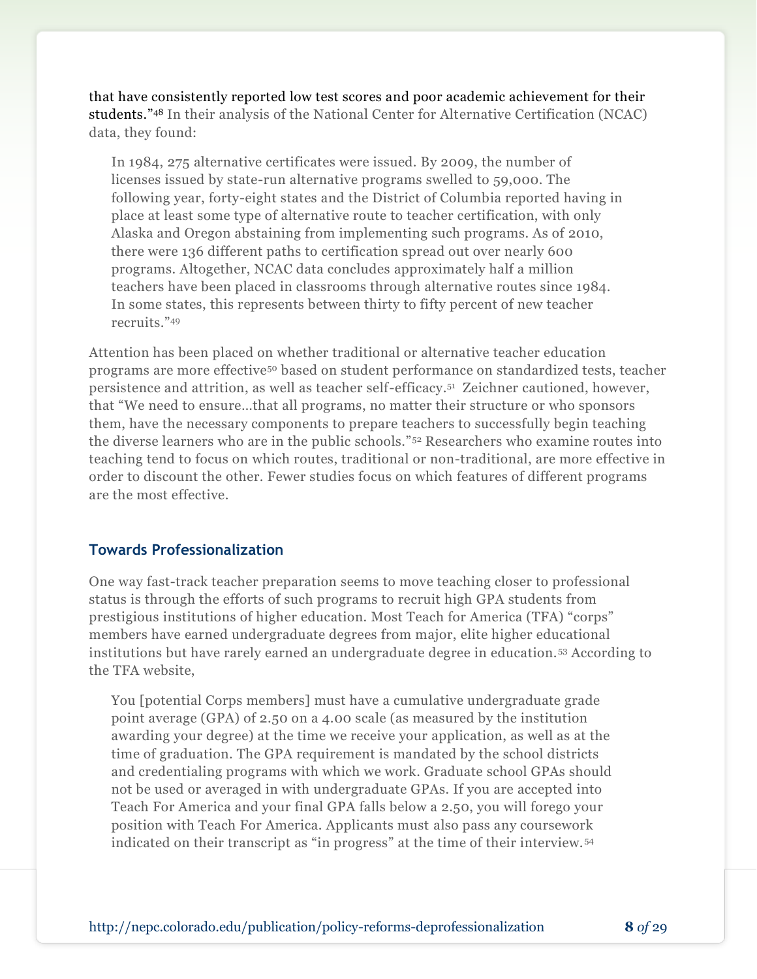that have consistently reported low test scores and poor academic achievement for their students."<sup>48</sup> In their analysis of the National Center for Alternative Certification (NCAC) data, they found:

In 1984, 275 alternative certificates were issued. By 2009, the number of licenses issued by state-run alternative programs swelled to 59,000. The following year, forty-eight states and the District of Columbia reported having in place at least some type of alternative route to teacher certification, with only Alaska and Oregon abstaining from implementing such programs. As of 2010, there were 136 different paths to certification spread out over nearly 600 programs. Altogether, NCAC data concludes approximately half a million teachers have been placed in classrooms through alternative routes since 1984. In some states, this represents between thirty to fifty percent of new teacher recruits."<sup>49</sup>

Attention has been placed on whether traditional or alternative teacher education programs are more effective<sup>50</sup> based on student performance on standardized tests, teacher persistence and attrition, as well as teacher self-efficacy.<sup>51</sup> Zeichner cautioned, however, that "We need to ensure…that all programs, no matter their structure or who sponsors them, have the necessary components to prepare teachers to successfully begin teaching the diverse learners who are in the public schools."<sup>52</sup> Researchers who examine routes into teaching tend to focus on which routes, traditional or non-traditional, are more effective in order to discount the other. Fewer studies focus on which features of different programs are the most effective.

## **Towards Professionalization**

One way fast-track teacher preparation seems to move teaching closer to professional status is through the efforts of such programs to recruit high GPA students from prestigious institutions of higher education. Most Teach for America (TFA) "corps" members have earned undergraduate degrees from major, elite higher educational institutions but have rarely earned an undergraduate degree in education. <sup>53</sup> According to the TFA website,

You [potential Corps members] must have a cumulative undergraduate grade point average (GPA) of 2.50 on a 4.00 scale (as measured by the institution awarding your degree) at the time we receive your application, as well as at the time of graduation. The GPA requirement is mandated by the school districts and credentialing programs with which we work. Graduate school GPAs should not be used or averaged in with undergraduate GPAs. If you are accepted into Teach For America and your final GPA falls below a 2.50, you will forego your position with Teach For America. Applicants must also pass any coursework indicated on their transcript as "in progress" at the time of their interview. <sup>54</sup>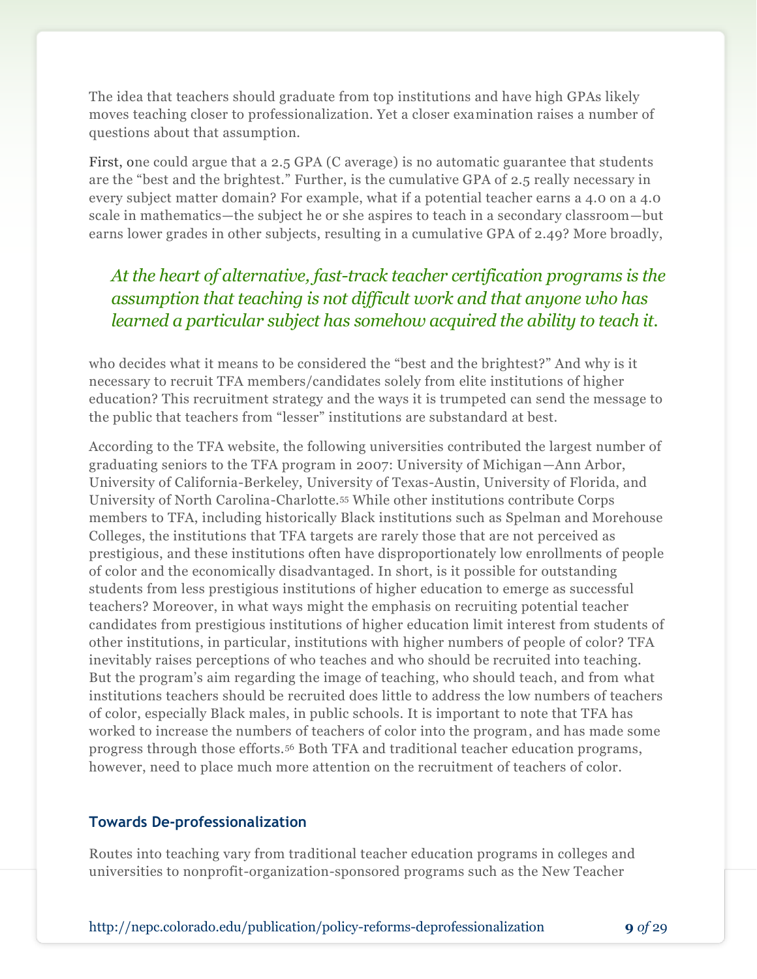The idea that teachers should graduate from top institutions and have high GPAs likely moves teaching closer to professionalization. Yet a closer examination raises a number of questions about that assumption.

First, one could argue that a 2.5 GPA (C average) is no automatic guarantee that students are the "best and the brightest." Further, is the cumulative GPA of 2.5 really necessary in every subject matter domain? For example, what if a potential teacher earns a 4.0 on a 4.0 scale in mathematics—the subject he or she aspires to teach in a secondary classroom—but earns lower grades in other subjects, resulting in a cumulative GPA of 2.49? More broadly,

## *At the heart of alternative, fast-track teacher certification programs is the assumption that teaching is not difficult work and that anyone who has learned a particular subject has somehow acquired the ability to teach it.*

who decides what it means to be considered the "best and the brightest?" And why is it necessary to recruit TFA members/candidates solely from elite institutions of higher education? This recruitment strategy and the ways it is trumpeted can send the message to the public that teachers from "lesser" institutions are substandard at best.

According to the TFA website, the following universities contributed the largest number of graduating seniors to the TFA program in 2007: University of Michigan—Ann Arbor, University of California-Berkeley, University of Texas-Austin, University of Florida, and University of North Carolina-Charlotte.<sup>55</sup> While other institutions contribute Corps members to TFA, including historically Black institutions such as Spelman and Morehouse Colleges, the institutions that TFA targets are rarely those that are not perceived as prestigious, and these institutions often have disproportionately low enrollments of people of color and the economically disadvantaged. In short, is it possible for outstanding students from less prestigious institutions of higher education to emerge as successful teachers? Moreover, in what ways might the emphasis on recruiting potential teacher candidates from prestigious institutions of higher education limit interest from students of other institutions, in particular, institutions with higher numbers of people of color? TFA inevitably raises perceptions of who teaches and who should be recruited into teaching. But the program's aim regarding the image of teaching, who should teach, and from what institutions teachers should be recruited does little to address the low numbers of teachers of color, especially Black males, in public schools. It is important to note that TFA has worked to increase the numbers of teachers of color into the program, and has made some progress through those efforts.<sup>56</sup> Both TFA and traditional teacher education programs, however, need to place much more attention on the recruitment of teachers of color.

## **Towards De-professionalization**

Routes into teaching vary from traditional teacher education programs in colleges and universities to nonprofit-organization-sponsored programs such as the New Teacher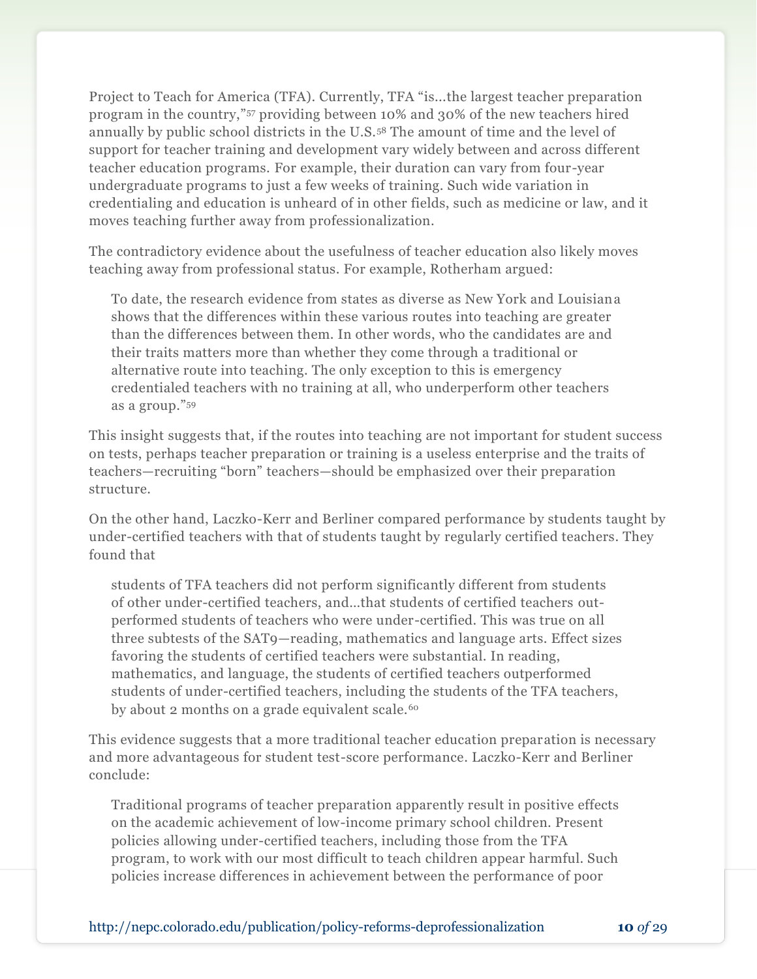Project to Teach for America (TFA). Currently, TFA "is...the largest teacher preparation program in the country,"<sup>57</sup> providing between 10% and 30% of the new teachers hired annually by public school districts in the U.S.<sup>58</sup> The amount of time and the level of support for teacher training and development vary widely between and across different teacher education programs. For example, their duration can vary from four-year undergraduate programs to just a few weeks of training. Such wide variation in credentialing and education is unheard of in other fields, such as medicine or law, and it moves teaching further away from professionalization.

The contradictory evidence about the usefulness of teacher education also likely moves teaching away from professional status. For example, Rotherham argued:

To date, the research evidence from states as diverse as New York and Louisiana shows that the differences within these various routes into teaching are greater than the differences between them. In other words, who the candidates are and their traits matters more than whether they come through a traditional or alternative route into teaching. The only exception to this is emergency credentialed teachers with no training at all, who underperform other teachers as a group."<sup>59</sup>

This insight suggests that, if the routes into teaching are not important for student success on tests, perhaps teacher preparation or training is a useless enterprise and the traits of teachers—recruiting "born" teachers—should be emphasized over their preparation structure.

On the other hand, Laczko-Kerr and Berliner compared performance by students taught by under-certified teachers with that of students taught by regularly certified teachers. They found that

students of TFA teachers did not perform significantly different from students of other under-certified teachers, and…that students of certified teachers outperformed students of teachers who were under-certified. This was true on all three subtests of the SAT9—reading, mathematics and language arts. Effect sizes favoring the students of certified teachers were substantial. In reading, mathematics, and language, the students of certified teachers outperformed students of under-certified teachers, including the students of the TFA teachers, by about 2 months on a grade equivalent scale.<sup>60</sup>

This evidence suggests that a more traditional teacher education preparation is necessary and more advantageous for student test-score performance. Laczko-Kerr and Berliner conclude:

Traditional programs of teacher preparation apparently result in positive effects on the academic achievement of low-income primary school children. Present policies allowing under-certified teachers, including those from the TFA program, to work with our most difficult to teach children appear harmful. Such policies increase differences in achievement between the performance of poor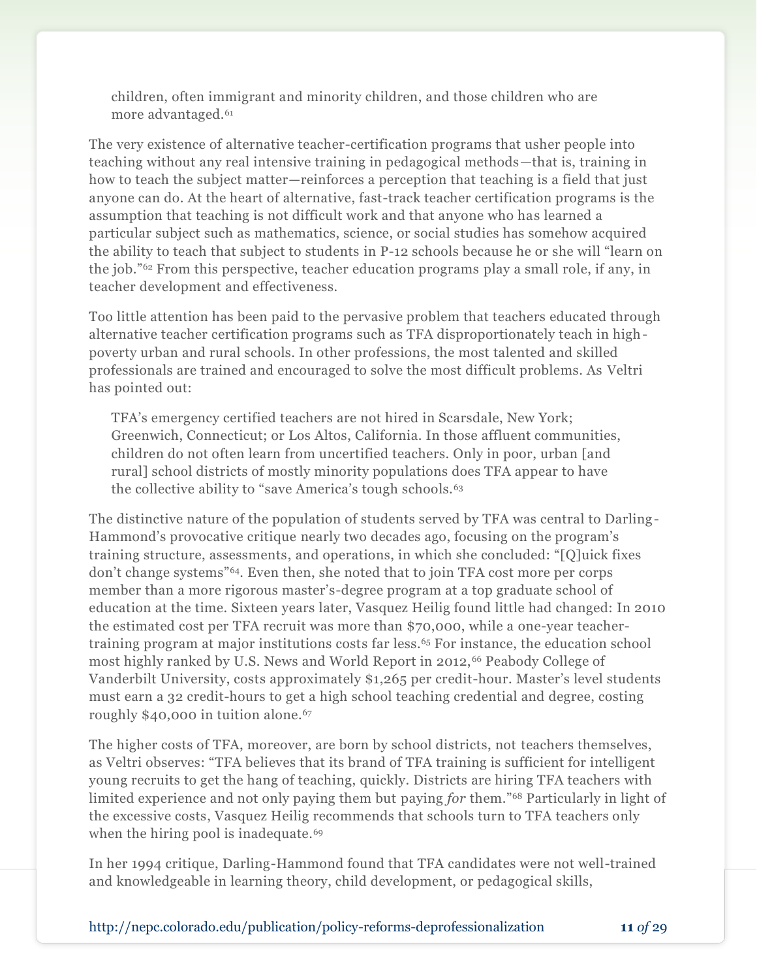children, often immigrant and minority children, and those children who are more advantaged.<sup>61</sup>

The very existence of alternative teacher-certification programs that usher people into teaching without any real intensive training in pedagogical methods—that is, training in how to teach the subject matter—reinforces a perception that teaching is a field that just anyone can do. At the heart of alternative, fast-track teacher certification programs is the assumption that teaching is not difficult work and that anyone who has learned a particular subject such as mathematics, science, or social studies has somehow acquired the ability to teach that subject to students in P-12 schools because he or she will "learn on the job."<sup>62</sup> From this perspective, teacher education programs play a small role, if any, in teacher development and effectiveness.

Too little attention has been paid to the pervasive problem that teachers educated through alternative teacher certification programs such as TFA disproportionately teach in highpoverty urban and rural schools. In other professions, the most talented and skilled professionals are trained and encouraged to solve the most difficult problems. As Veltri has pointed out:

TFA's emergency certified teachers are not hired in Scarsdale, New York; Greenwich, Connecticut; or Los Altos, California. In those affluent communities, children do not often learn from uncertified teachers. Only in poor, urban [and rural] school districts of mostly minority populations does TFA appear to have the collective ability to "save America's tough schools.<sup>63</sup>

The distinctive nature of the population of students served by TFA was central to Darling-Hammond's provocative critique nearly two decades ago, focusing on the program's training structure, assessments, and operations, in which she concluded: "[Q]uick fixes don't change systems"64. Even then, she noted that to join TFA cost more per corps member than a more rigorous master's-degree program at a top graduate school of education at the time. Sixteen years later, Vasquez Heilig found little had changed: In 2010 the estimated cost per TFA recruit was more than \$70,000, while a one-year teachertraining program at major institutions costs far less.<sup>65</sup> For instance, the education school most highly ranked by U.S. News and World Report in 2012,<sup>66</sup> Peabody College of Vanderbilt University, costs approximately \$1,265 per credit-hour. Master's level students must earn a 32 credit-hours to get a high school teaching credential and degree, costing roughly \$40,000 in tuition alone.<sup>67</sup>

The higher costs of TFA, moreover, are born by school districts, not teachers themselves, as Veltri observes: "TFA believes that its brand of TFA training is sufficient for intelligent young recruits to get the hang of teaching, quickly. Districts are hiring TFA teachers with limited experience and not only paying them but paying *for* them."<sup>68</sup> Particularly in light of the excessive costs, Vasquez Heilig recommends that schools turn to TFA teachers only when the hiring pool is inadequate.<sup>69</sup>

In her 1994 critique, Darling-Hammond found that TFA candidates were not well-trained and knowledgeable in learning theory, child development, or pedagogical skills,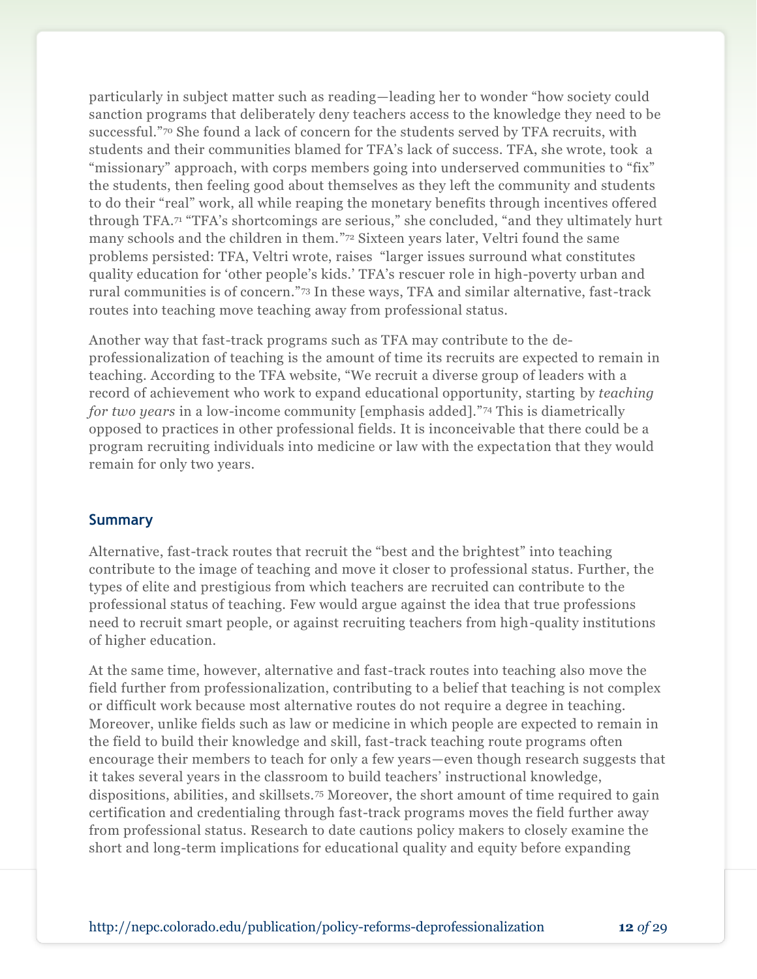particularly in subject matter such as reading—leading her to wonder "how society could sanction programs that deliberately deny teachers access to the knowledge they need to be successful."<sup>70</sup> She found a lack of concern for the students served by TFA recruits, with students and their communities blamed for TFA's lack of success. TFA, she wrote, took a "missionary" approach, with corps members going into underserved communities to "fix" the students, then feeling good about themselves as they left the community and students to do their "real" work, all while reaping the monetary benefits through incentives offered through TFA.<sup>71</sup> "TFA's shortcomings are serious," she concluded, "and they ultimately hurt many schools and the children in them." <sup>72</sup> Sixteen years later, Veltri found the same problems persisted: TFA, Veltri wrote, raises "larger issues surround what constitutes quality education for 'other people's kids.' TFA's rescuer role in high-poverty urban and rural communities is of concern."<sup>73</sup> In these ways, TFA and similar alternative, fast-track routes into teaching move teaching away from professional status.

Another way that fast-track programs such as TFA may contribute to the deprofessionalization of teaching is the amount of time its recruits are expected to remain in teaching. According to the TFA website, "We recruit a diverse group of leaders with a record of achievement who work to expand educational opportunity, starting by *teaching for two years* in a low-income community [emphasis added]."<sup>74</sup> This is diametrically opposed to practices in other professional fields. It is inconceivable that there could be a program recruiting individuals into medicine or law with the expectation that they would remain for only two years.

## **Summary**

Alternative, fast-track routes that recruit the "best and the brightest" into teaching contribute to the image of teaching and move it closer to professional status. Further, the types of elite and prestigious from which teachers are recruited can contribute to the professional status of teaching. Few would argue against the idea that true professions need to recruit smart people, or against recruiting teachers from high-quality institutions of higher education.

At the same time, however, alternative and fast-track routes into teaching also move the field further from professionalization, contributing to a belief that teaching is not complex or difficult work because most alternative routes do not require a degree in teaching. Moreover, unlike fields such as law or medicine in which people are expected to remain in the field to build their knowledge and skill, fast-track teaching route programs often encourage their members to teach for only a few years—even though research suggests that it takes several years in the classroom to build teachers' instructional knowledge, dispositions, abilities, and skillsets.<sup>75</sup> Moreover, the short amount of time required to gain certification and credentialing through fast-track programs moves the field further away from professional status. Research to date cautions policy makers to closely examine the short and long-term implications for educational quality and equity before expanding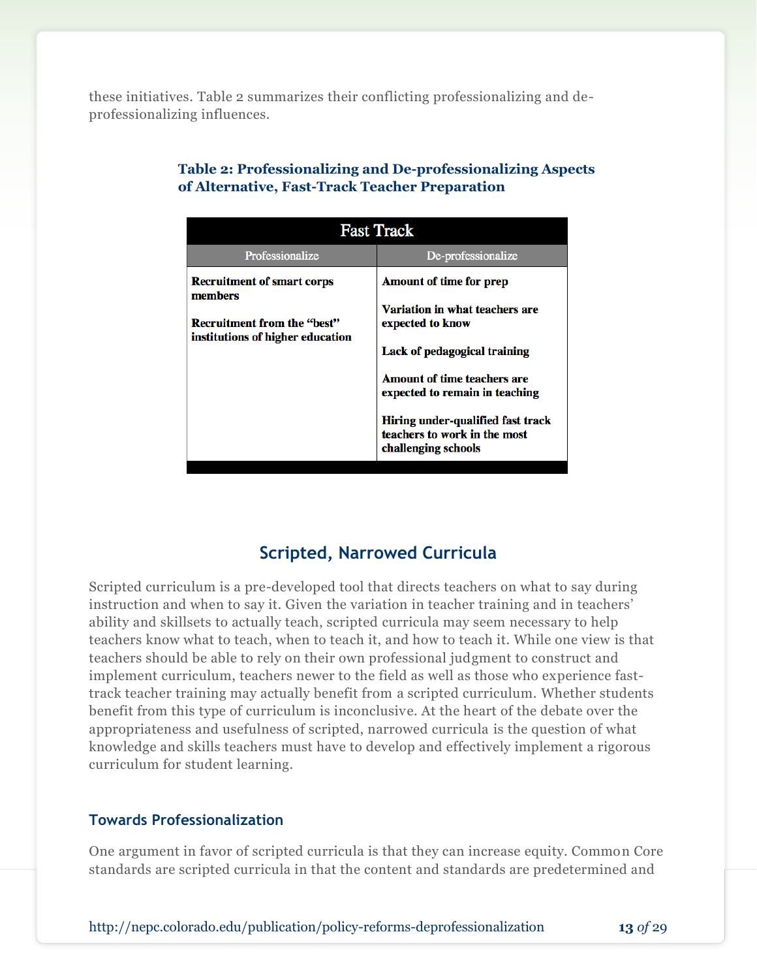these initiatives. Table 2 summarizes their conflicting professionalizing and deprofessionalizing influences.

| <b>Fast Track</b>                                                                                                      |                                                                                                                                                                                                                                                            |
|------------------------------------------------------------------------------------------------------------------------|------------------------------------------------------------------------------------------------------------------------------------------------------------------------------------------------------------------------------------------------------------|
| Professionalize                                                                                                        | De-professionalize                                                                                                                                                                                                                                         |
| <b>Recruitment of smart corps</b><br>members<br><b>Recruitment from the "best"</b><br>institutions of higher education | Amount of time for prep<br>Variation in what teachers are<br>expected to know<br>Lack of pedagogical training<br><b>Amount of time teachers are</b><br>expected to remain in teaching<br>Hiring under-qualified fast track<br>teachers to work in the most |
|                                                                                                                        | challenging schools                                                                                                                                                                                                                                        |

## **Table 2: Professionalizing and De-professionalizing Aspects of Alternative, Fast-Track Teacher Preparation**

## **Scripted, Narrowed Curricula**

Scripted curriculum is a pre-developed tool that directs teachers on what to say during instruction and when to say it. Given the variation in teacher training and in teachers' ability and skillsets to actually teach, scripted curricula may seem necessary to help teachers know what to teach, when to teach it, and how to teach it. While one view is that teachers should be able to rely on their own professional judgment to construct and implement curriculum, teachers newer to the field as well as those who experience fasttrack teacher training may actually benefit from a scripted curriculum. Whether students benefit from this type of curriculum is inconclusive. At the heart of the debate over the appropriateness and usefulness of scripted, narrowed curricula is the question of what knowledge and skills teachers must have to develop and effectively implement a rigorous curriculum for student learning.

## **Towards Professionalization**

One argument in favor of scripted curricula is that they can increase equity. Common Core standards are scripted curricula in that the content and standards are predetermined and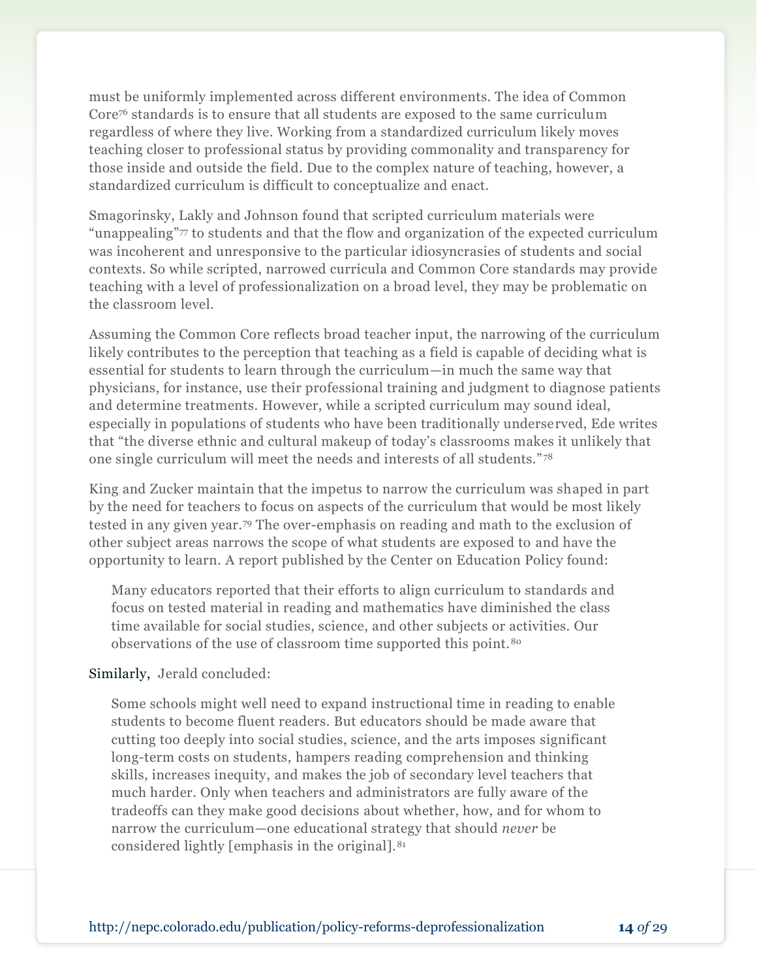must be uniformly implemented across different environments. The idea of Common Core<sup>76</sup> standards is to ensure that all students are exposed to the same curriculum regardless of where they live. Working from a standardized curriculum likely moves teaching closer to professional status by providing commonality and transparency for those inside and outside the field. Due to the complex nature of teaching, however, a standardized curriculum is difficult to conceptualize and enact.

Smagorinsky, Lakly and Johnson found that scripted curriculum materials were "unappealing"<sup>77</sup> to students and that the flow and organization of the expected curriculum was incoherent and unresponsive to the particular idiosyncrasies of students and social contexts. So while scripted, narrowed curricula and Common Core standards may provide teaching with a level of professionalization on a broad level, they may be problematic on the classroom level.

Assuming the Common Core reflects broad teacher input, the narrowing of the curriculum likely contributes to the perception that teaching as a field is capable of deciding what is essential for students to learn through the curriculum—in much the same way that physicians, for instance, use their professional training and judgment to diagnose patients and determine treatments. However, while a scripted curriculum may sound ideal, especially in populations of students who have been traditionally underserved, Ede writes that "the diverse ethnic and cultural makeup of today's classrooms makes it unlikely that one single curriculum will meet the needs and interests of all students." <sup>78</sup>

King and Zucker maintain that the impetus to narrow the curriculum was shaped in part by the need for teachers to focus on aspects of the curriculum that would be most likely tested in any given year.<sup>79</sup> The over-emphasis on reading and math to the exclusion of other subject areas narrows the scope of what students are exposed to and have the opportunity to learn. A report published by the Center on Education Policy found:

Many educators reported that their efforts to align curriculum to standards and focus on tested material in reading and mathematics have diminished the class time available for social studies, science, and other subjects or activities. Our observations of the use of classroom time supported this point.<sup>80</sup>

## Similarly, Jerald concluded:

Some schools might well need to expand instructional time in reading to enable students to become fluent readers. But educators should be made aware that cutting too deeply into social studies, science, and the arts imposes significant long-term costs on students, hampers reading comprehension and thinking skills, increases inequity, and makes the job of secondary level teachers that much harder. Only when teachers and administrators are fully aware of the tradeoffs can they make good decisions about whether, how, and for whom to narrow the curriculum—one educational strategy that should *never* be considered lightly [emphasis in the original].81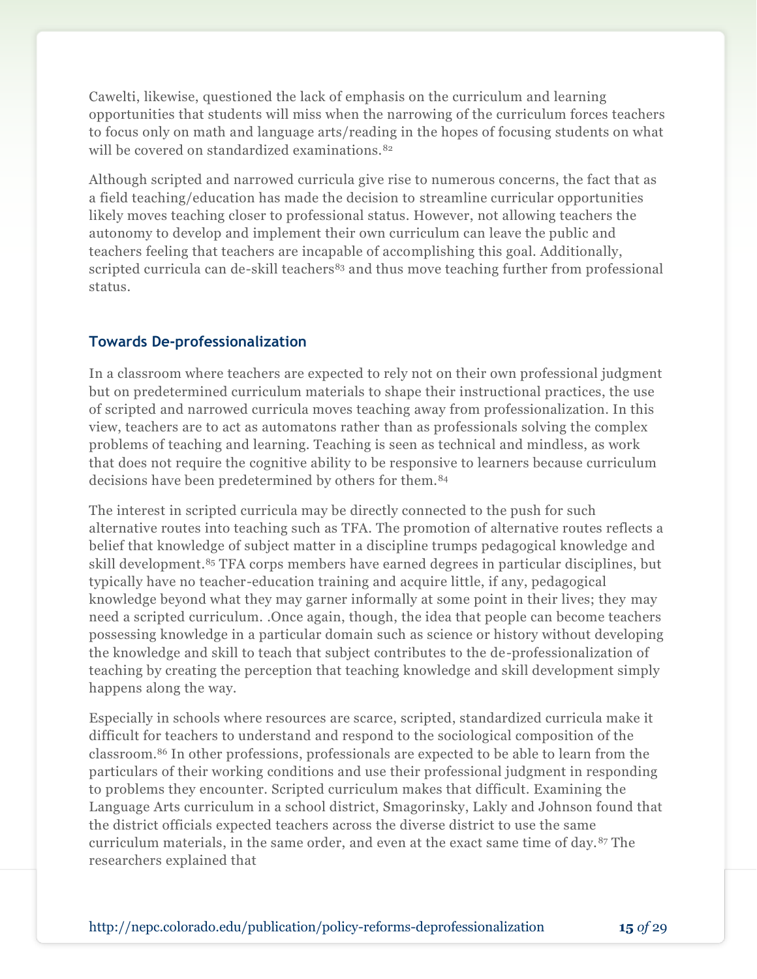Cawelti, likewise, questioned the lack of emphasis on the curriculum and learning opportunities that students will miss when the narrowing of the curriculum forces teachers to focus only on math and language arts/reading in the hopes of focusing students on what will be covered on standardized examinations.<sup>82</sup>

Although scripted and narrowed curricula give rise to numerous concerns, the fact that as a field teaching/education has made the decision to streamline curricular opportunities likely moves teaching closer to professional status. However, not allowing teachers the autonomy to develop and implement their own curriculum can leave the public and teachers feeling that teachers are incapable of accomplishing this goal. Additionally, scripted curricula can de-skill teachers<sup>83</sup> and thus move teaching further from professional status.

## **Towards De-professionalization**

In a classroom where teachers are expected to rely not on their own professional judgment but on predetermined curriculum materials to shape their instructional practices, the use of scripted and narrowed curricula moves teaching away from professionalization. In this view, teachers are to act as automatons rather than as professionals solving the complex problems of teaching and learning. Teaching is seen as technical and mindless, as work that does not require the cognitive ability to be responsive to learners because curriculum decisions have been predetermined by others for them.<sup>84</sup>

The interest in scripted curricula may be directly connected to the push for such alternative routes into teaching such as TFA. The promotion of alternative routes reflects a belief that knowledge of subject matter in a discipline trumps pedagogical knowledge and skill development.<sup>85</sup> TFA corps members have earned degrees in particular disciplines, but typically have no teacher-education training and acquire little, if any, pedagogical knowledge beyond what they may garner informally at some point in their lives; they may need a scripted curriculum. .Once again, though, the idea that people can become teachers possessing knowledge in a particular domain such as science or history without developing the knowledge and skill to teach that subject contributes to the de-professionalization of teaching by creating the perception that teaching knowledge and skill development simply happens along the way.

Especially in schools where resources are scarce, scripted, standardized curricula make it difficult for teachers to understand and respond to the sociological composition of the classroom.<sup>86</sup> In other professions, professionals are expected to be able to learn from the particulars of their working conditions and use their professional judgment in responding to problems they encounter. Scripted curriculum makes that difficult. Examining the Language Arts curriculum in a school district, Smagorinsky, Lakly and Johnson found that the district officials expected teachers across the diverse district to use the same curriculum materials, in the same order, and even at the exact same time of day.<sup>87</sup> The researchers explained that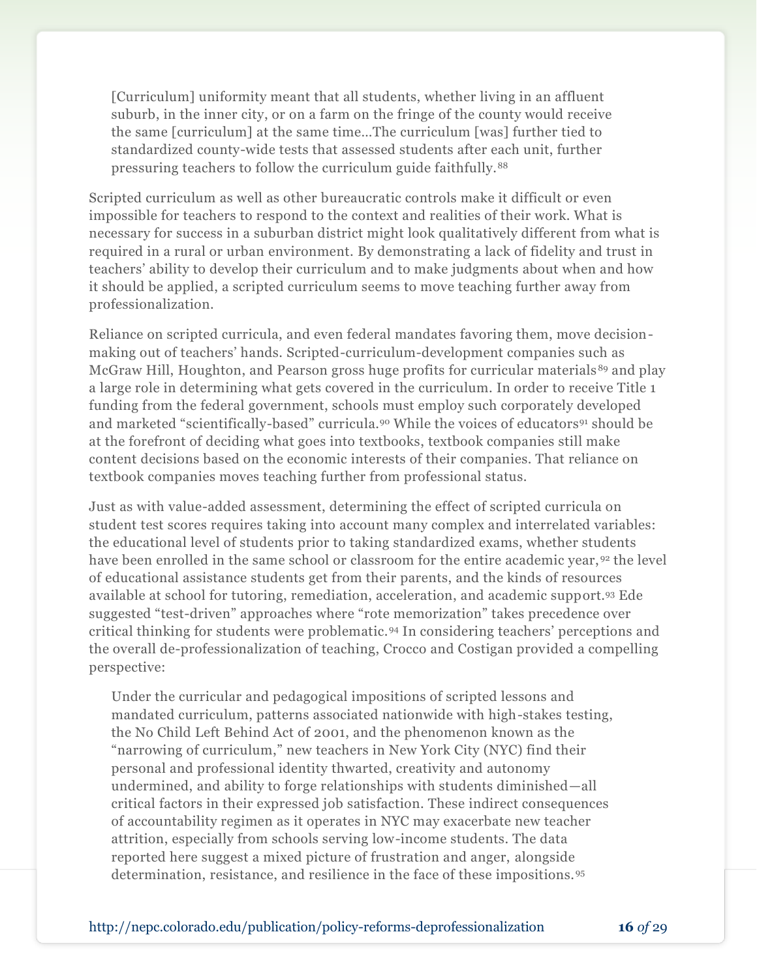[Curriculum] uniformity meant that all students, whether living in an affluent suburb, in the inner city, or on a farm on the fringe of the county would receive the same [curriculum] at the same time…The curriculum [was] further tied to standardized county-wide tests that assessed students after each unit, further pressuring teachers to follow the curriculum guide faithfully.<sup>88</sup>

Scripted curriculum as well as other bureaucratic controls make it difficult or even impossible for teachers to respond to the context and realities of their work. What is necessary for success in a suburban district might look qualitatively different from what is required in a rural or urban environment. By demonstrating a lack of fidelity and trust in teachers' ability to develop their curriculum and to make judgments about when and how it should be applied, a scripted curriculum seems to move teaching further away from professionalization.

Reliance on scripted curricula, and even federal mandates favoring them, move decisionmaking out of teachers' hands. Scripted-curriculum-development companies such as McGraw Hill, Houghton, and Pearson gross huge profits for curricular materials <sup>89</sup> and play a large role in determining what gets covered in the curriculum. In order to receive Title 1 funding from the federal government, schools must employ such corporately developed and marketed "scientifically-based" curricula.<sup>90</sup> While the voices of educators<sup>91</sup> should be at the forefront of deciding what goes into textbooks, textbook companies still make content decisions based on the economic interests of their companies. That reliance on textbook companies moves teaching further from professional status.

Just as with value-added assessment, determining the effect of scripted curricula on student test scores requires taking into account many complex and interrelated variables: the educational level of students prior to taking standardized exams, whether students have been enrolled in the same school or classroom for the entire academic year, <sup>92</sup> the level of educational assistance students get from their parents, and the kinds of resources available at school for tutoring, remediation, acceleration, and academic support.<sup>93</sup> Ede suggested "test-driven" approaches where "rote memorization" takes precedence over critical thinking for students were problematic.<sup>94</sup> In considering teachers' perceptions and the overall de-professionalization of teaching, Crocco and Costigan provided a compelling perspective:

Under the curricular and pedagogical impositions of scripted lessons and mandated curriculum, patterns associated nationwide with high-stakes testing, the No Child Left Behind Act of 2001, and the phenomenon known as the "narrowing of curriculum," new teachers in New York City (NYC) find their personal and professional identity thwarted, creativity and autonomy undermined, and ability to forge relationships with students diminished—all critical factors in their expressed job satisfaction. These indirect consequences of accountability regimen as it operates in NYC may exacerbate new teacher attrition, especially from schools serving low-income students. The data reported here suggest a mixed picture of frustration and anger, alongside determination, resistance, and resilience in the face of these impositions.<sup>95</sup>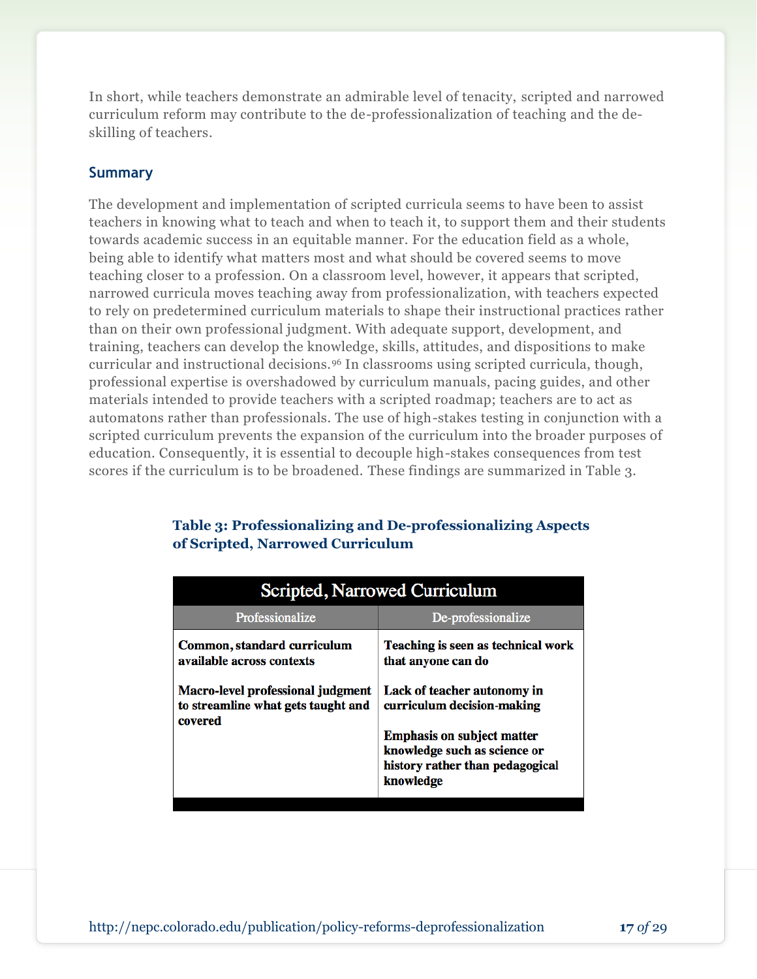In short, while teachers demonstrate an admirable level of tenacity, scripted and narrowed curriculum reform may contribute to the de-professionalization of teaching and the deskilling of teachers.

## **Summary**

The development and implementation of scripted curricula seems to have been to assist teachers in knowing what to teach and when to teach it, to support them and their students towards academic success in an equitable manner. For the education field as a whole, being able to identify what matters most and what should be covered seems to move teaching closer to a profession. On a classroom level, however, it appears that scripted, narrowed curricula moves teaching away from professionalization, with teachers expected to rely on predetermined curriculum materials to shape their instructional practices rather than on their own professional judgment. With adequate support, development, and training, teachers can develop the knowledge, skills, attitudes, and dispositions to make curricular and instructional decisions.<sup>96</sup> In classrooms using scripted curricula, though, professional expertise is overshadowed by curriculum manuals, pacing guides, and other materials intended to provide teachers with a scripted roadmap; teachers are to act as automatons rather than professionals. The use of high-stakes testing in conjunction with a scripted curriculum prevents the expansion of the curriculum into the broader purposes of education. Consequently, it is essential to decouple high-stakes consequences from test scores if the curriculum is to be broadened. These findings are summarized in Table 3.

| Scripted, Narrowed Curriculum                                                             |                                                                                                                   |  |
|-------------------------------------------------------------------------------------------|-------------------------------------------------------------------------------------------------------------------|--|
| Professionalize                                                                           | De-professionalize                                                                                                |  |
| Common, standard curriculum<br>available across contexts                                  | Teaching is seen as technical work<br>that anyone can do                                                          |  |
| <b>Macro-level professional judgment</b><br>to streamline what gets taught and<br>covered | Lack of teacher autonomy in<br>curriculum decision-making                                                         |  |
|                                                                                           | <b>Emphasis on subject matter</b><br>knowledge such as science or<br>history rather than pedagogical<br>knowledge |  |

## **Table 3: Professionalizing and De-professionalizing Aspects of Scripted, Narrowed Curriculum**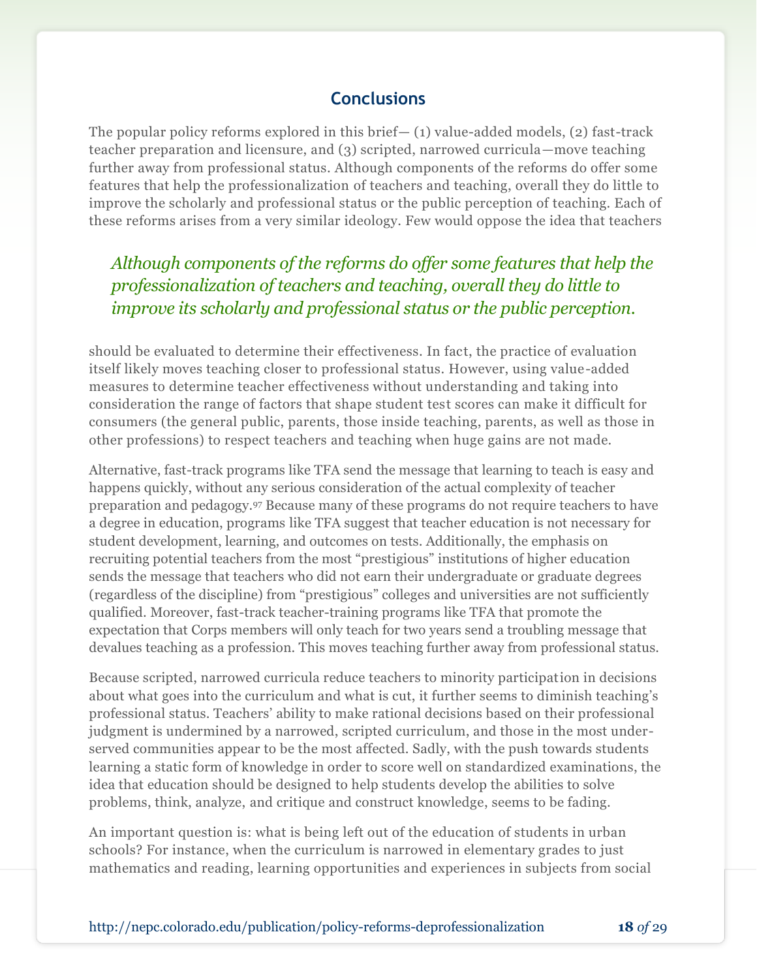## **Conclusions**

The popular policy reforms explored in this brief— $(1)$  value-added models,  $(2)$  fast-track teacher preparation and licensure, and (3) scripted, narrowed curricula—move teaching further away from professional status. Although components of the reforms do offer some features that help the professionalization of teachers and teaching, overall they do little to improve the scholarly and professional status or the public perception of teaching. Each of these reforms arises from a very similar ideology. Few would oppose the idea that teachers

## *Although components of the reforms do offer some features that help the professionalization of teachers and teaching, overall they do little to improve its scholarly and professional status or the public perception.*

should be evaluated to determine their effectiveness. In fact, the practice of evaluation itself likely moves teaching closer to professional status. However, using value-added measures to determine teacher effectiveness without understanding and taking into consideration the range of factors that shape student test scores can make it difficult for consumers (the general public, parents, those inside teaching, parents, as well as those in other professions) to respect teachers and teaching when huge gains are not made.

Alternative, fast-track programs like TFA send the message that learning to teach is easy and happens quickly, without any serious consideration of the actual complexity of teacher preparation and pedagogy.<sup>97</sup> Because many of these programs do not require teachers to have a degree in education, programs like TFA suggest that teacher education is not necessary for student development, learning, and outcomes on tests. Additionally, the emphasis on recruiting potential teachers from the most "prestigious" institutions of higher education sends the message that teachers who did not earn their undergraduate or graduate degrees (regardless of the discipline) from "prestigious" colleges and universities are not sufficiently qualified. Moreover, fast-track teacher-training programs like TFA that promote the expectation that Corps members will only teach for two years send a troubling message that devalues teaching as a profession. This moves teaching further away from professional status.

Because scripted, narrowed curricula reduce teachers to minority participation in decisions about what goes into the curriculum and what is cut, it further seems to diminish teaching's professional status. Teachers' ability to make rational decisions based on their professional judgment is undermined by a narrowed, scripted curriculum, and those in the most underserved communities appear to be the most affected. Sadly, with the push towards students learning a static form of knowledge in order to score well on standardized examinations, the idea that education should be designed to help students develop the abilities to solve problems, think, analyze, and critique and construct knowledge, seems to be fading.

An important question is: what is being left out of the education of students in urban schools? For instance, when the curriculum is narrowed in elementary grades to just mathematics and reading, learning opportunities and experiences in subjects from social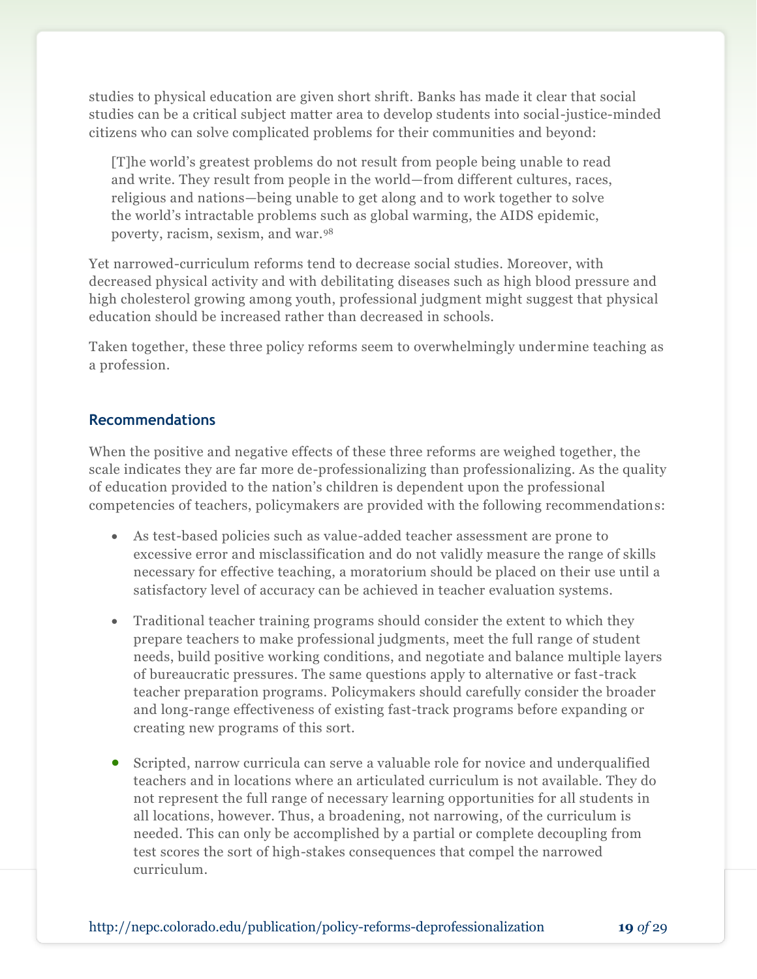studies to physical education are given short shrift. Banks has made it clear that social studies can be a critical subject matter area to develop students into social-justice-minded citizens who can solve complicated problems for their communities and beyond:

[T]he world's greatest problems do not result from people being unable to read and write. They result from people in the world—from different cultures, races, religious and nations—being unable to get along and to work together to solve the world's intractable problems such as global warming, the AIDS epidemic, poverty, racism, sexism, and war.<sup>98</sup>

Yet narrowed-curriculum reforms tend to decrease social studies. Moreover, with decreased physical activity and with debilitating diseases such as high blood pressure and high cholesterol growing among youth, professional judgment might suggest that physical education should be increased rather than decreased in schools.

Taken together, these three policy reforms seem to overwhelmingly undermine teaching as a profession.

## **Recommendations**

When the positive and negative effects of these three reforms are weighed together, the scale indicates they are far more de-professionalizing than professionalizing. As the quality of education provided to the nation's children is dependent upon the professional competencies of teachers, policymakers are provided with the following recommendations:

- As test-based policies such as value-added teacher assessment are prone to excessive error and misclassification and do not validly measure the range of skills necessary for effective teaching, a moratorium should be placed on their use until a satisfactory level of accuracy can be achieved in teacher evaluation systems.
- Traditional teacher training programs should consider the extent to which they prepare teachers to make professional judgments, meet the full range of student needs, build positive working conditions, and negotiate and balance multiple layers of bureaucratic pressures. The same questions apply to alternative or fast-track teacher preparation programs. Policymakers should carefully consider the broader and long-range effectiveness of existing fast-track programs before expanding or creating new programs of this sort.
- Scripted, narrow curricula can serve a valuable role for novice and underqualified teachers and in locations where an articulated curriculum is not available. They do not represent the full range of necessary learning opportunities for all students in all locations, however. Thus, a broadening, not narrowing, of the curriculum is needed. This can only be accomplished by a partial or complete decoupling from test scores the sort of high-stakes consequences that compel the narrowed curriculum.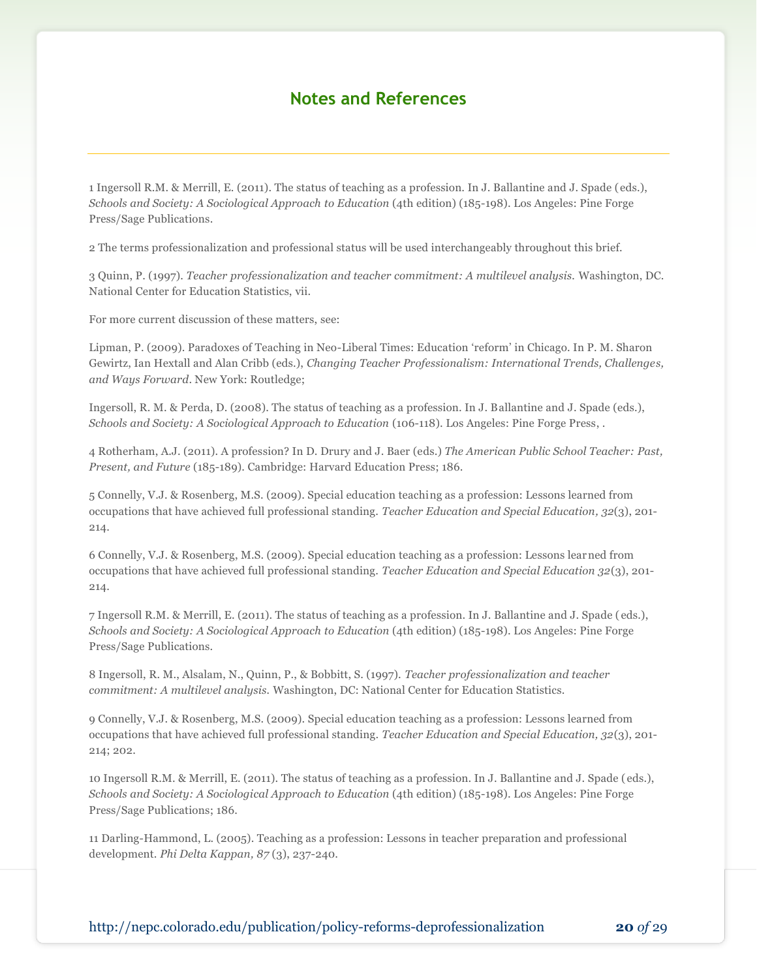## **Notes and References**

1 Ingersoll R.M. & Merrill, E. (2011). The status of teaching as a profession. In J. Ballantine and J. Spade (eds.), *Schools and Society: A Sociological Approach to Education* (4th edition) (185-198). Los Angeles: Pine Forge Press/Sage Publications.

2 The terms professionalization and professional status will be used interchangeably throughout this brief.

3 Quinn, P. (1997). *Teacher professionalization and teacher commitment: A multilevel analysis.* Washington, DC. National Center for Education Statistics, vii.

For more current discussion of these matters, see:

Lipman, P. (2009). Paradoxes of Teaching in Neo-Liberal Times: Education 'reform' in Chicago. In P. M. Sharon Gewirtz, Ian Hextall and Alan Cribb (eds.), *Changing Teacher Professionalism: International Trends, Challenges, and Ways Forward*. New York: Routledge;

Ingersoll, R. M. & Perda, D. (2008). The status of teaching as a profession. In J. Ballantine and J. Spade (eds.), *Schools and Society: A Sociological Approach to Education* (106-118). Los Angeles: Pine Forge Press, .

4 Rotherham, A.J. (2011). A profession? In D. Drury and J. Baer (eds.) *The American Public School Teacher: Past, Present, and Future* (185-189). Cambridge: Harvard Education Press; 186.

5 Connelly, V.J. & Rosenberg, M.S. (2009). Special education teaching as a profession: Lessons learned from occupations that have achieved full professional standing. *Teacher Education and Special Education, 32*(3), 201- 214.

6 Connelly, V.J. & Rosenberg, M.S. (2009). Special education teaching as a profession: Lessons learned from occupations that have achieved full professional standing. *Teacher Education and Special Education 32*(3), 201- 214.

7 Ingersoll R.M. & Merrill, E. (2011). The status of teaching as a profession. In J. Ballantine and J. Spade ( eds.), *Schools and Society: A Sociological Approach to Education* (4th edition) (185-198). Los Angeles: Pine Forge Press/Sage Publications.

8 Ingersoll, R. M., Alsalam, N., Quinn, P., & Bobbitt, S. (1997). *Teacher professionalization and teacher commitment: A multilevel analysis.* Washington, DC: National Center for Education Statistics.

9 Connelly, V.J. & Rosenberg, M.S. (2009). Special education teaching as a profession: Lessons learned from occupations that have achieved full professional standing. *Teacher Education and Special Education, 32*(3), 201- 214; 202.

10 Ingersoll R.M. & Merrill, E. (2011). The status of teaching as a profession. In J. Ballantine and J. Spade ( eds.), *Schools and Society: A Sociological Approach to Education* (4th edition) (185-198). Los Angeles: Pine Forge Press/Sage Publications; 186.

11 Darling-Hammond, L. (2005). Teaching as a profession: Lessons in teacher preparation and professional development. *Phi Delta Kappan, 87* (3), 237-240.

http://nepc.colorado.edu/publication/policy-reforms-deprofessionalization **20** *of* 29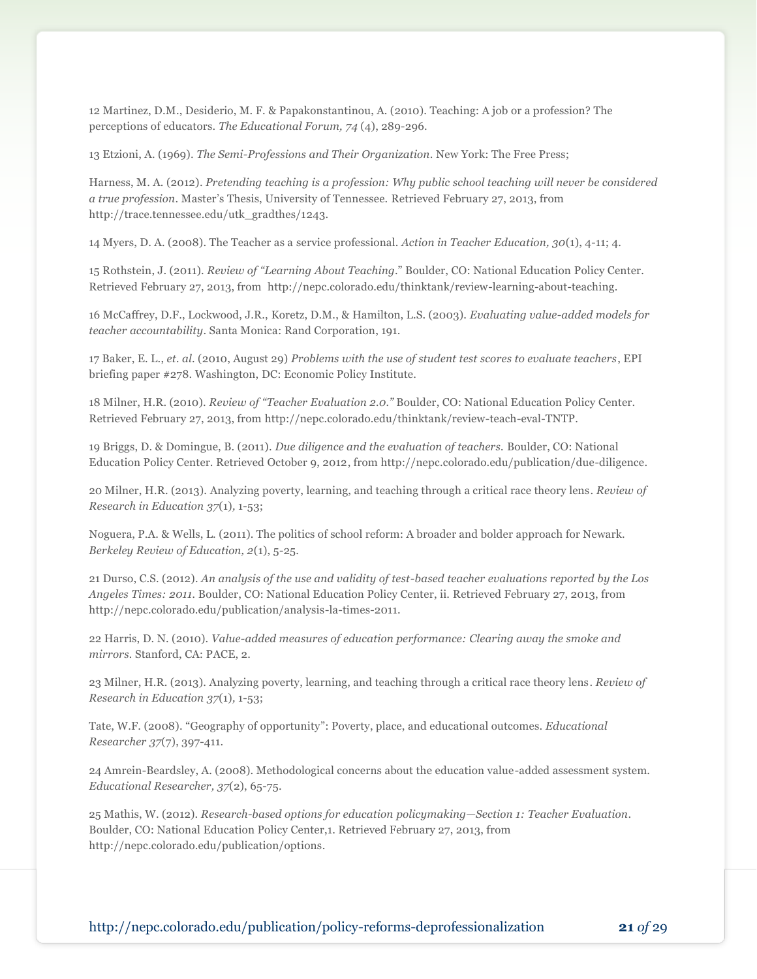12 Martinez, D.M., Desiderio, M. F. & Papakonstantinou, A. (2010). Teaching: A job or a profession? The perceptions of educators. *The Educational Forum, 74* (4), 289-296.

13 Etzioni, A. (1969). *The Semi-Professions and Their Organization*. New York: The Free Press;

Harness, M. A. (2012). *Pretending teaching is a profession: Why public school teaching will never be considered a true profession*. Master's Thesis, University of Tennessee. Retrieved February 27, 2013, from http://trace.tennessee.edu/utk\_gradthes/1243.

14 Myers, D. A. (2008). The Teacher as a service professional. *Action in Teacher Education, 30*(1), 4-11; 4.

15 Rothstein, J. (2011). *Review of "Learning About Teaching*." Boulder, CO: National Education Policy Center. Retrieved February 27, 2013, from http://nepc.colorado.edu/thinktank/review-learning-about-teaching.

16 McCaffrey, D.F., Lockwood, J.R., Koretz, D.M., & Hamilton, L.S. (2003). *Evaluating value-added models for teacher accountability*. Santa Monica: Rand Corporation, 191.

17 Baker, E. L., *et. al*. (2010, August 29) *Problems with the use of student test scores to evaluate teachers*, EPI briefing paper #278. Washington, DC: Economic Policy Institute.

18 Milner, H.R. (2010). *Review of "Teacher Evaluation 2.0."* Boulder, CO: National Education Policy Center. Retrieved February 27, 2013, from http://nepc.colorado.edu/thinktank/review-teach-eval-TNTP.

19 Briggs, D. & Domingue, B. (2011). *Due diligence and the evaluation of teachers.* Boulder, CO: National Education Policy Center. Retrieved October 9, 2012, from http://nepc.colorado.edu/publication/due-diligence.

20 Milner, H.R. (2013). Analyzing poverty, learning, and teaching through a critical race theory lens. *Review of Research in Education 37*(1)*,* 1-53;

Noguera, P.A. & Wells, L. (2011). The politics of school reform: A broader and bolder approach for Newark. *Berkeley Review of Education, 2*(1), 5-25.

21 Durso, C.S. (2012). *An analysis of the use and validity of test-based teacher evaluations reported by the Los Angeles Times: 2011.* Boulder, CO: National Education Policy Center, ii. Retrieved February 27, 2013, from http://nepc.colorado.edu/publication/analysis-la-times-2011.

22 Harris, D. N. (2010). *Value-added measures of education performance: Clearing away the smoke and mirrors.* Stanford, CA: PACE, 2.

23 Milner, H.R. (2013). Analyzing poverty, learning, and teaching through a critical race theory lens. *Review of Research in Education 37*(1)*,* 1-53;

Tate, W.F. (2008). "Geography of opportunity": Poverty, place, and educational outcomes. *Educational Researcher 37*(7), 397-411.

24 Amrein-Beardsley, A. (2008). Methodological concerns about the education value-added assessment system. *Educational Researcher, 37*(2), 65-75.

25 Mathis, W. (2012). *Research-based options for education policymaking—Section 1: Teacher Evaluation*. Boulder, CO: National Education Policy Center,1. Retrieved February 27, 2013, from http://nepc.colorado.edu/publication/options.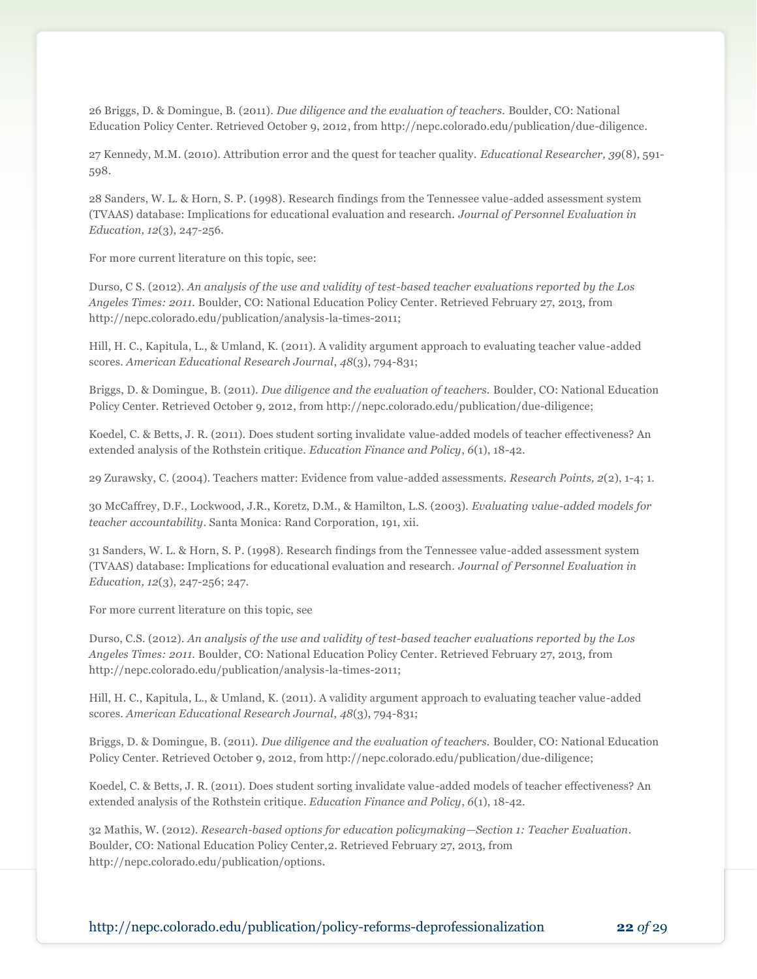26 Briggs, D. & Domingue, B. (2011). *Due diligence and the evaluation of teachers.* Boulder, CO: National Education Policy Center. Retrieved October 9, 2012, from http://nepc.colorado.edu/publication/due-diligence.

27 Kennedy, M.M. (2010). Attribution error and the quest for teacher quality. *Educational Researcher, 39*(8), 591- 598.

28 Sanders, W. L. & Horn, S. P. (1998). Research findings from the Tennessee value-added assessment system (TVAAS) database: Implications for educational evaluation and research. *Journal of Personnel Evaluation in Education, 12*(3), 247-256.

For more current literature on this topic, see:

Durso, C S. (2012). *An analysis of the use and validity of test-based teacher evaluations reported by the Los Angeles Times: 2011.* Boulder, CO: National Education Policy Center. Retrieved February 27, 2013, from http://nepc.colorado.edu/publication/analysis-la-times-2011;

Hill, H. C., Kapitula, L., & Umland, K. (2011). A validity argument approach to evaluating teacher value-added scores. *American Educational Research Journal*, *48*(3), 794-831;

Briggs, D. & Domingue, B. (2011). *Due diligence and the evaluation of teachers.* Boulder, CO: National Education Policy Center. Retrieved October 9, 2012, from http://nepc.colorado.edu/publication/due-diligence;

Koedel, C. & Betts, J. R. (2011). Does student sorting invalidate value-added models of teacher effectiveness? An extended analysis of the Rothstein critique. *Education Finance and Policy*, *6*(1), 18-42.

29 Zurawsky, C. (2004). Teachers matter: Evidence from value-added assessments. *Research Points, 2*(2), 1-4; 1.

30 McCaffrey, D.F., Lockwood, J.R., Koretz, D.M., & Hamilton, L.S. (2003). *Evaluating value-added models for teacher accountability*. Santa Monica: Rand Corporation, 191, xii.

31 Sanders, W. L. & Horn, S. P. (1998). Research findings from the Tennessee value-added assessment system (TVAAS) database: Implications for educational evaluation and research. *Journal of Personnel Evaluation in Education, 12*(3), 247-256; 247.

For more current literature on this topic, see

Durso, C.S. (2012). *An analysis of the use and validity of test-based teacher evaluations reported by the Los Angeles Times: 2011.* Boulder, CO: National Education Policy Center. Retrieved February 27, 2013, from http://nepc.colorado.edu/publication/analysis-la-times-2011;

Hill, H. C., Kapitula, L., & Umland, K. (2011). A validity argument approach to evaluating teacher value-added scores. *American Educational Research Journal*, *48*(3), 794-831;

Briggs, D. & Domingue, B. (2011). *Due diligence and the evaluation of teachers.* Boulder, CO: National Education Policy Center. Retrieved October 9, 2012, from http://nepc.colorado.edu/publication/due-diligence;

Koedel, C. & Betts, J. R. (2011). Does student sorting invalidate value-added models of teacher effectiveness? An extended analysis of the Rothstein critique. *Education Finance and Policy*, *6*(1), 18-42.

32 Mathis, W. (2012). *Research-based options for education policymaking—Section 1: Teacher Evaluation*. Boulder, CO: National Education Policy Center,2. Retrieved February 27, 2013, from http://nepc.colorado.edu/publication/options.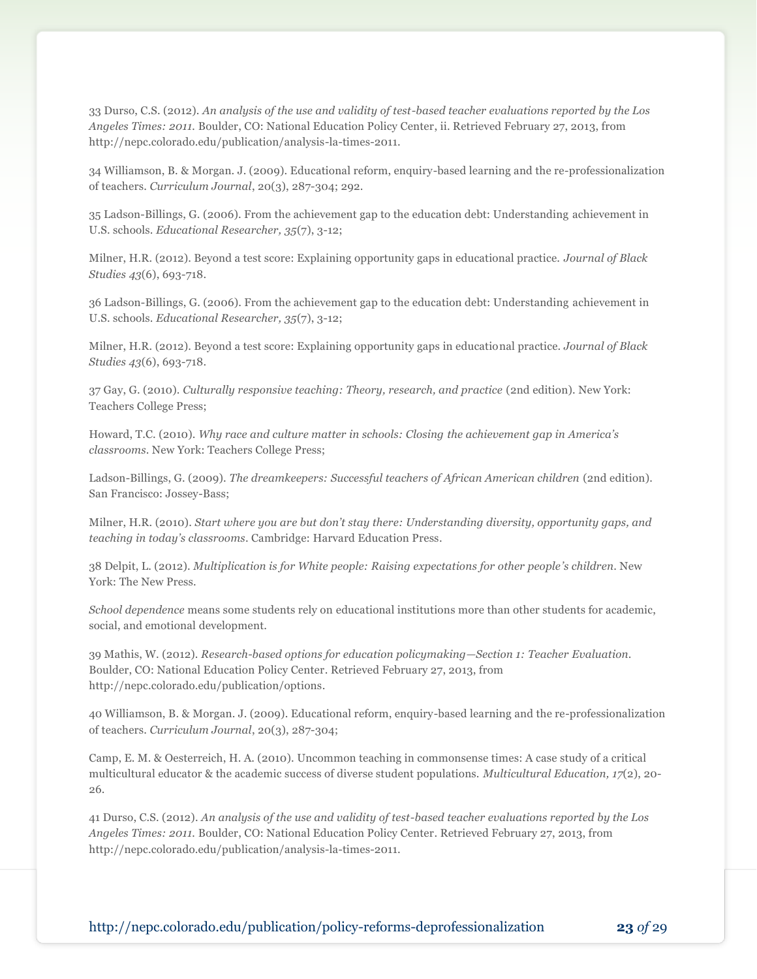33 Durso, C.S. (2012). *An analysis of the use and validity of test-based teacher evaluations reported by the Los Angeles Times: 2011.* Boulder, CO: National Education Policy Center, ii. Retrieved February 27, 2013, from http://nepc.colorado.edu/publication/analysis-la-times-2011.

34 Williamson, B. & Morgan. J. (2009). Educational reform, enquiry-based learning and the re-professionalization of teachers. *Curriculum Journal*, 20(3), 287-304; 292.

35 Ladson-Billings, G. (2006). From the achievement gap to the education debt: Understanding achievement in U.S. schools. *Educational Researcher, 35*(7), 3-12;

Milner, H.R. (2012). Beyond a test score: Explaining opportunity gaps in educational practice. *Journal of Black Studies 43*(6), 693-718.

36 Ladson-Billings, G. (2006). From the achievement gap to the education debt: Understanding achievement in U.S. schools. *Educational Researcher, 35*(7), 3-12;

Milner, H.R. (2012). Beyond a test score: Explaining opportunity gaps in educational practice. *Journal of Black Studies 43*(6), 693-718.

37 Gay, G. (2010). *Culturally responsive teaching: Theory, research, and practice* (2nd edition). New York: Teachers College Press;

Howard, T.C. (2010). *Why race and culture matter in schools: Closing the achievement gap in America's classrooms*. New York: Teachers College Press;

Ladson-Billings, G. (2009). *The dreamkeepers: Successful teachers of African American children* (2nd edition). San Francisco: Jossey-Bass;

Milner, H.R. (2010). *Start where you are but don't stay there: Understanding diversity, opportunity gaps, and teaching in today's classrooms*. Cambridge: Harvard Education Press.

38 Delpit, L. (2012). *Multiplication is for White people: Raising expectations for other people's children*. New York: The New Press.

*School dependence* means some students rely on educational institutions more than other students for academic, social, and emotional development.

39 Mathis, W. (2012). *Research-based options for education policymaking—Section 1: Teacher Evaluation*. Boulder, CO: National Education Policy Center. Retrieved February 27, 2013, from http://nepc.colorado.edu/publication/options.

40 Williamson, B. & Morgan. J. (2009). Educational reform, enquiry-based learning and the re-professionalization of teachers. *Curriculum Journal*, 20(3), 287-304;

Camp, E. M. & Oesterreich, H. A. (2010). Uncommon teaching in commonsense times: A case study of a critical multicultural educator & the academic success of diverse student populations. *Multicultural Education, 17*(2), 20- 26.

41 Durso, C.S. (2012). *An analysis of the use and validity of test-based teacher evaluations reported by the Los Angeles Times: 2011.* Boulder, CO: National Education Policy Center. Retrieved February 27, 2013, from http://nepc.colorado.edu/publication/analysis-la-times-2011.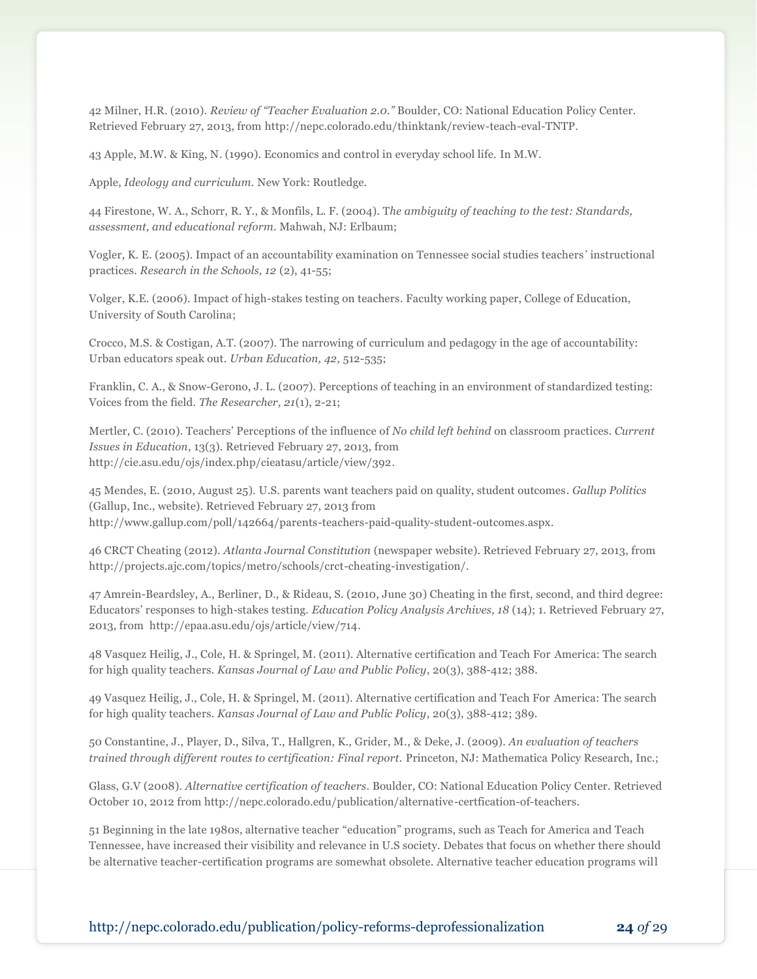42 Milner, H.R. (2010). *Review of "Teacher Evaluation 2.0."* Boulder, CO: National Education Policy Center. Retrieved February 27, 2013, from http://nepc.colorado.edu/thinktank/review-teach-eval-TNTP.

43 Apple, M.W. & King, N. (1990). Economics and control in everyday school life. In M.W.

Apple, *Ideology and curriculum.* New York: Routledge.

44 Firestone, W. A., Schorr, R. Y., & Monfils, L. F. (2004). T*he ambiguity of teaching to the test: Standards, assessment, and educational reform.* Mahwah, NJ: Erlbaum;

Vogler, K. E. (2005). Impact of an accountability examination on Tennessee social studies teachers ' instructional practices. *Research in the Schools, 12* (2), 41-55;

Volger, K.E. (2006). Impact of high-stakes testing on teachers. Faculty working paper, College of Education, University of South Carolina;

Crocco, M.S. & Costigan, A.T. (2007). The narrowing of curriculum and pedagogy in the age of accountability: Urban educators speak out. *Urban Education, 42*, 512-535;

Franklin, C. A., & Snow-Gerono, J. L. (2007). Perceptions of teaching in an environment of standardized testing: Voices from the field. *The Researcher, 21*(1), 2-21;

Mertler, C. (2010). Teachers' Perceptions of the influence of *No child left behind* on classroom practices. *Current Issues in Education*, 13(3). Retrieved February 27, 2013, from http://cie.asu.edu/ojs/index.php/cieatasu/article/view/392.

45 Mendes, E. (2010, August 25). U.S. parents want teachers paid on quality, student outcomes. *Gallup Politics*  (Gallup, Inc., website). Retrieved February 27, 2013 from http://www.gallup.com/poll/142664/parents-teachers-paid-quality-student-outcomes.aspx.

46 CRCT Cheating (2012). *Atlanta Journal Constitution* (newspaper website). Retrieved February 27, 2013, from http://projects.ajc.com/topics/metro/schools/crct-cheating-investigation/.

47 Amrein-Beardsley, A., Berliner, D., & Rideau, S. (2010, June 30) Cheating in the first, second, and third degree: Educators' responses to high-stakes testing. *Education Policy Analysis Archives, 18* (14); 1. Retrieved February 27, 2013, from http://epaa.asu.edu/ojs/article/view/714.

48 Vasquez Heilig, J., Cole, H. & Springel, M. (2011). Alternative certification and Teach For America: The search for high quality teachers. *Kansas Journal of Law and Public Policy*, 20(3), 388-412; 388.

49 Vasquez Heilig, J., Cole, H. & Springel, M. (2011). Alternative certification and Teach For America: The search for high quality teachers. *Kansas Journal of Law and Public Policy*, 20(3), 388-412; 389.

50 Constantine, J., Player, D., Silva, T., Hallgren, K., Grider, M., & Deke, J. (2009). *An evaluation of teachers trained through different routes to certification: Final report.* Princeton, NJ: Mathematica Policy Research, Inc.;

Glass, G.V (2008). *Alternative certification of teachers*. Boulder, CO: National Education Policy Center. Retrieved October 10, 2012 from http://nepc.colorado.edu/publication/alternative-certfication-of-teachers.

51 Beginning in the late 1980s, alternative teacher "education" programs, such as Teach for America and Teach Tennessee, have increased their visibility and relevance in U.S society. Debates that focus on whether there should be alternative teacher-certification programs are somewhat obsolete. Alternative teacher education programs will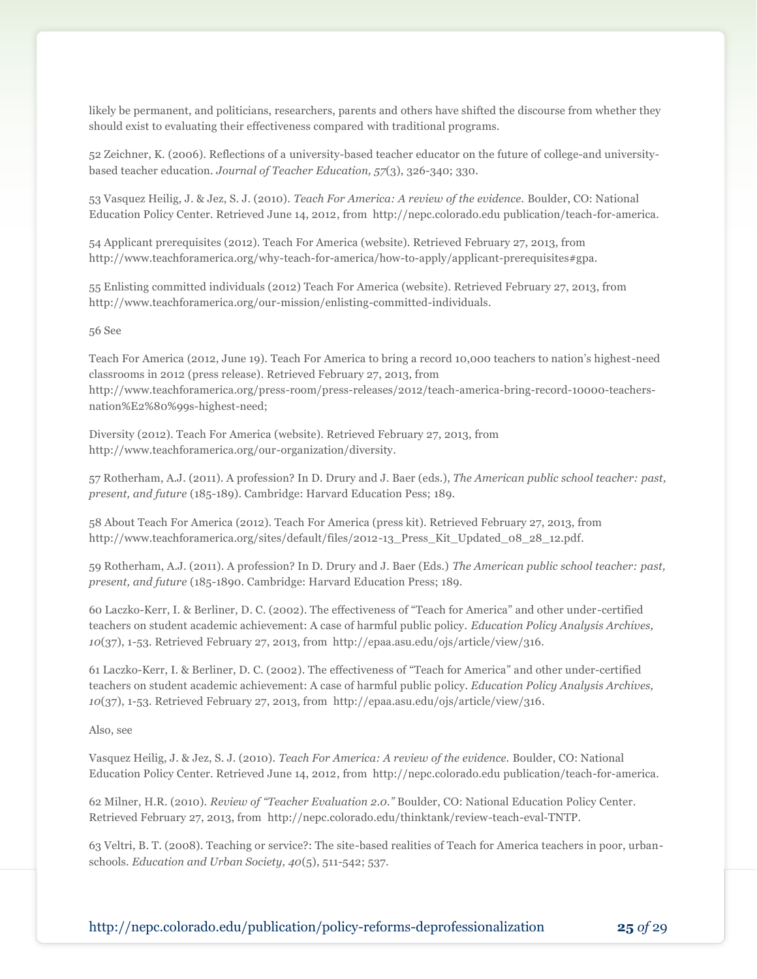likely be permanent, and politicians, researchers, parents and others have shifted the discourse from whether they should exist to evaluating their effectiveness compared with traditional programs.

52 Zeichner, K. (2006). Reflections of a university-based teacher educator on the future of college-and universitybased teacher education. *Journal of Teacher Education, 57*(3), 326-340; 330.

53 Vasquez Heilig, J. & Jez, S. J. (2010). *Teach For America: A review of the evidence.* Boulder, CO: National Education Policy Center. Retrieved June 14, 2012, from http://nepc.colorado.edu publication/teach-for-america.

54 Applicant prerequisites (2012). Teach For America (website). Retrieved February 27, 2013, from http://www.teachforamerica.org/why-teach-for-america/how-to-apply/applicant-prerequisites#gpa.

55 Enlisting committed individuals (2012) Teach For America (website). Retrieved February 27, 2013, from http://www.teachforamerica.org/our-mission/enlisting-committed-individuals.

#### 56 See

Teach For America (2012, June 19). Teach For America to bring a record 10,000 teachers to nation's highest-need classrooms in 2012 (press release). Retrieved February 27, 2013, from http://www.teachforamerica.org/press-room/press-releases/2012/teach-america-bring-record-10000-teachersnation%E2%80%99s-highest-need;

Diversity (2012). Teach For America (website). Retrieved February 27, 2013, from http://www.teachforamerica.org/our-organization/diversity.

57 Rotherham, A.J. (2011). A profession? In D. Drury and J. Baer (eds.), *The American public school teacher: past, present, and future* (185-189). Cambridge: Harvard Education Pess; 189.

58 About Teach For America (2012). Teach For America (press kit). Retrieved February 27, 2013, from http://www.teachforamerica.org/sites/default/files/2012-13\_Press\_Kit\_Updated\_08\_28\_12.pdf.

59 Rotherham, A.J. (2011). A profession? In D. Drury and J. Baer (Eds.) *The American public school teacher: past, present, and future* (185-1890. Cambridge: Harvard Education Press; 189.

60 Laczko-Kerr, I. & Berliner, D. C. (2002). The effectiveness of "Teach for America" and other under-certified teachers on student academic achievement: A case of harmful public policy. *Education Policy Analysis Archives, 10*(37), 1-53. Retrieved February 27, 2013, from http://epaa.asu.edu/ojs/article/view/316.

61 Laczko-Kerr, I. & Berliner, D. C. (2002). The effectiveness of "Teach for America" and other under-certified teachers on student academic achievement: A case of harmful public policy. *Education Policy Analysis Archives, 10*(37), 1-53. Retrieved February 27, 2013, from http://epaa.asu.edu/ojs/article/view/316.

Also, see

Vasquez Heilig, J. & Jez, S. J. (2010). *Teach For America: A review of the evidence.* Boulder, CO: National Education Policy Center. Retrieved June 14, 2012, from http://nepc.colorado.edu publication/teach-for-america.

62 Milner, H.R. (2010). *Review of "Teacher Evaluation 2.0."* Boulder, CO: National Education Policy Center. Retrieved February 27, 2013, from http://nepc.colorado.edu/thinktank/review-teach-eval-TNTP.

63 Veltri, B. T. (2008). Teaching or service?: The site-based realities of Teach for America teachers in poor, urbanschools. *Education and Urban Society, 40*(5), 511-542; 537.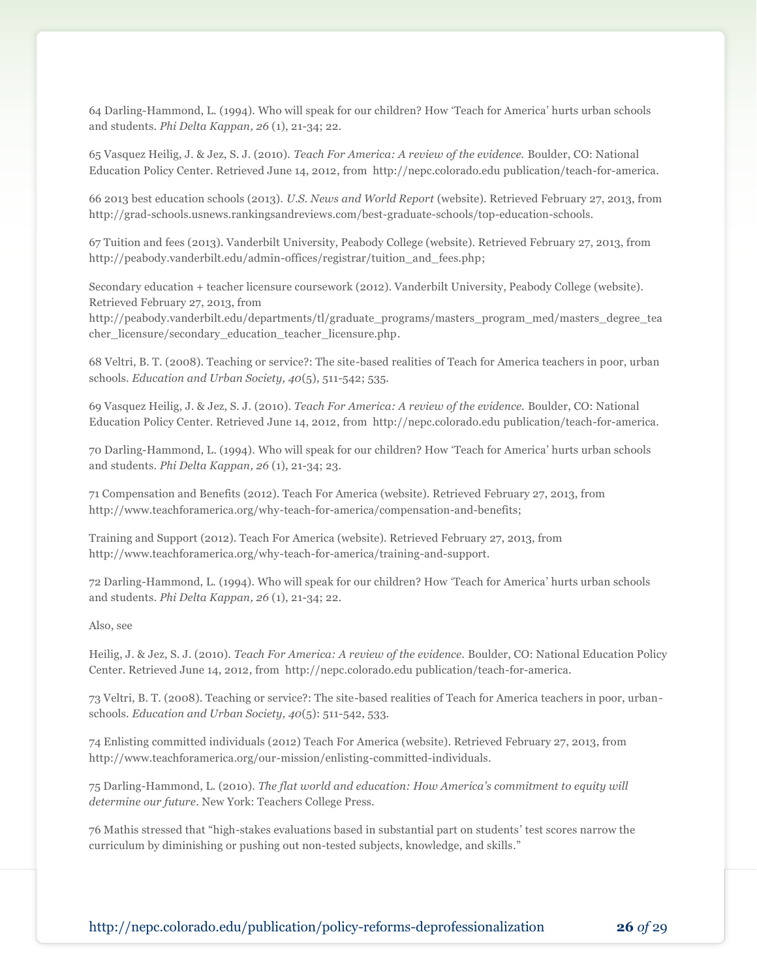64 Darling-Hammond, L. (1994). Who will speak for our children? How 'Teach for America' hurts urban schools and students. *Phi Delta Kappan, 26* (1), 21-34; 22.

65 Vasquez Heilig, J. & Jez, S. J. (2010). *Teach For America: A review of the evidence.* Boulder, CO: National Education Policy Center. Retrieved June 14, 2012, from http://nepc.colorado.edu publication/teach-for-america.

66 2013 best education schools (2013). *U.S. News and World Report* (website). Retrieved February 27, 2013, from http://grad-schools.usnews.rankingsandreviews.com/best-graduate-schools/top-education-schools.

67 Tuition and fees (2013). Vanderbilt University, Peabody College (website). Retrieved February 27, 2013, from http://peabody.vanderbilt.edu/admin-offices/registrar/tuition\_and\_fees.php;

Secondary education + teacher licensure coursework (2012). Vanderbilt University, Peabody College (website). Retrieved February 27, 2013, from

http://peabody.vanderbilt.edu/departments/tl/graduate\_programs/masters\_program\_med/masters\_degree\_tea cher\_licensure/secondary\_education\_teacher\_licensure.php.

68 Veltri, B. T. (2008). Teaching or service?: The site-based realities of Teach for America teachers in poor, urban schools. *Education and Urban Society, 40*(5), 511-542; 535.

69 Vasquez Heilig, J. & Jez, S. J. (2010). *Teach For America: A review of the evidence.* Boulder, CO: National Education Policy Center. Retrieved June 14, 2012, from http://nepc.colorado.edu publication/teach-for-america.

70 Darling-Hammond, L. (1994). Who will speak for our children? How 'Teach for America' hurts urban schools and students. *Phi Delta Kappan, 26* (1), 21-34; 23.

71 Compensation and Benefits (2012). Teach For America (website). Retrieved February 27, 2013, from http://www.teachforamerica.org/why-teach-for-america/compensation-and-benefits;

Training and Support (2012). Teach For America (website). Retrieved February 27, 2013, from http://www.teachforamerica.org/why-teach-for-america/training-and-support.

72 Darling-Hammond, L. (1994). Who will speak for our children? How 'Teach for America' hurts urban schools and students. *Phi Delta Kappan, 26* (1), 21-34; 22.

Also, see

Heilig, J. & Jez, S. J. (2010). *Teach For America: A review of the evidence.* Boulder, CO: National Education Policy Center. Retrieved June 14, 2012, from http://nepc.colorado.edu publication/teach-for-america.

73 Veltri, B. T. (2008). Teaching or service?: The site-based realities of Teach for America teachers in poor, urbanschools. *Education and Urban Society, 40*(5): 511-542, 533.

74 Enlisting committed individuals (2012) Teach For America (website). Retrieved February 27, 2013, from http://www.teachforamerica.org/our-mission/enlisting-committed-individuals.

75 Darling-Hammond, L. (2010). *The flat world and education: How America's commitment to equity will determine our future*. New York: Teachers College Press.

76 Mathis stressed that "high-stakes evaluations based in substantial part on students' test scores narrow the curriculum by diminishing or pushing out non-tested subjects, knowledge, and skills."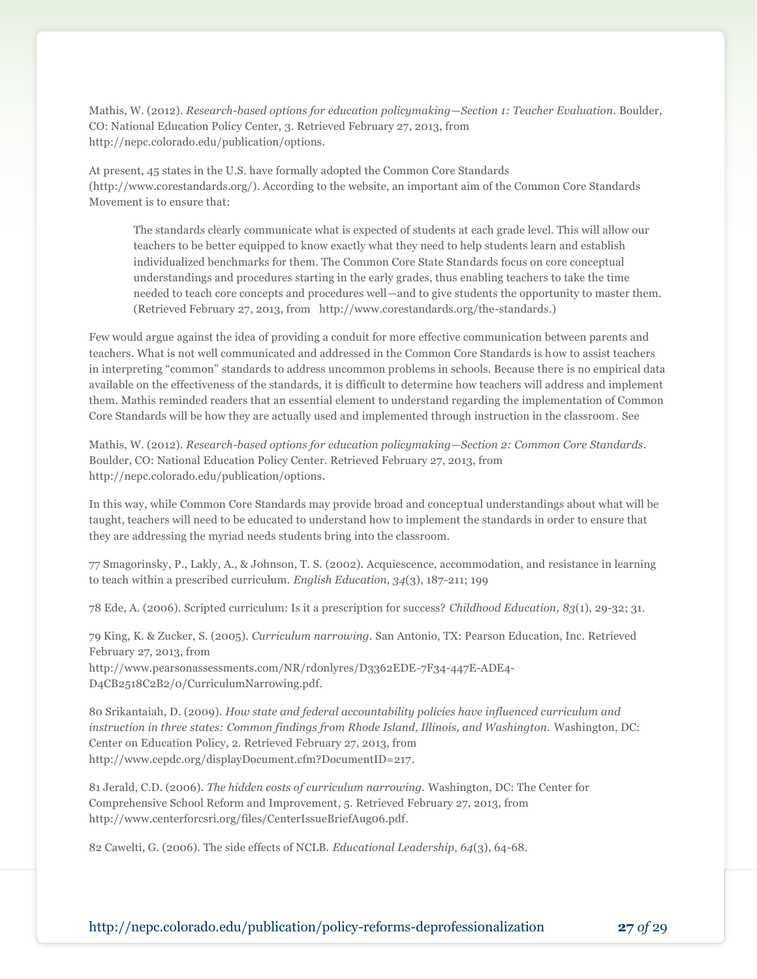Mathis, W. (2012). *Research-based options for education policymaking—Section 1: Teacher Evaluation*. Boulder, CO: National Education Policy Center, 3. Retrieved February 27, 2013, from http://nepc.colorado.edu/publication/options.

At present, 45 states in the U.S. have formally adopted the Common Core Standards (http://www.corestandards.org/). According to the website, an important aim of the Common Core Standards Movement is to ensure that:

The standards clearly communicate what is expected of students at each grade level. This will allow our teachers to be better equipped to know exactly what they need to help students learn and establish individualized benchmarks for them. The Common Core State Standards focus on core conceptual understandings and procedures starting in the early grades, thus enabling teachers to take the time needed to teach core concepts and procedures well—and to give students the opportunity to master them. (Retrieved February 27, 2013, from http://www.corestandards.org/the-standards.)

Few would argue against the idea of providing a conduit for more effective communication between parents and teachers. What is not well communicated and addressed in the Common Core Standards is how to assist teachers in interpreting "common" standards to address uncommon problems in schools. Because there is no empirical data available on the effectiveness of the standards, it is difficult to determine how teachers will address and implement them. Mathis reminded readers that an essential element to understand regarding the implementation of Common Core Standards will be how they are actually used and implemented through instruction in the classroom. See

Mathis, W. (2012). *Research-based options for education policymaking—Section 2: Common Core Standards*. Boulder, CO: National Education Policy Center. Retrieved February 27, 2013, from http://nepc.colorado.edu/publication/options.

In this way, while Common Core Standards may provide broad and conceptual understandings about what will be taught, teachers will need to be educated to understand how to implement the standards in order to ensure that they are addressing the myriad needs students bring into the classroom.

77 Smagorinsky, P., Lakly, A., & Johnson, T. S. (2002). Acquiescence, accommodation, and resistance in learning to teach within a prescribed curriculum. *English Education, 34*(3), 187-211; 199

78 Ede, A. (2006). Scripted curriculum: Is it a prescription for success? *Childhood Education, 83*(1), 29-32; 31.

79 King, K. & Zucker, S. (2005). *Curriculum narrowing.* San Antonio, TX: Pearson Education, Inc. Retrieved February 27, 2013, from

http://www.pearsonassessments.com/NR/rdonlyres/D3362EDE-7F34-447E-ADE4- D4CB2518C2B2/0/CurriculumNarrowing.pdf.

80 Srikantaiah, D. (2009). *How state and federal accountability policies have influenced curriculum and instruction in three states: Common findings from Rhode Island, Illinois, and Washington.* Washington, DC: Center on Education Policy, 2. Retrieved February 27, 2013, from http://www.cepdc.org/displayDocument.cfm?DocumentID=217.

81 Jerald, C.D. (2006). *The hidden costs of curriculum narrowing.* Washington, DC: The Center for Comprehensive School Reform and Improvement, 5. Retrieved February 27, 2013, from http://www.centerforcsri.org/files/CenterIssueBriefAug06.pdf.

82 Cawelti, G. (2006). The side effects of NCLB. *Educational Leadership, 64*(3), 64-68.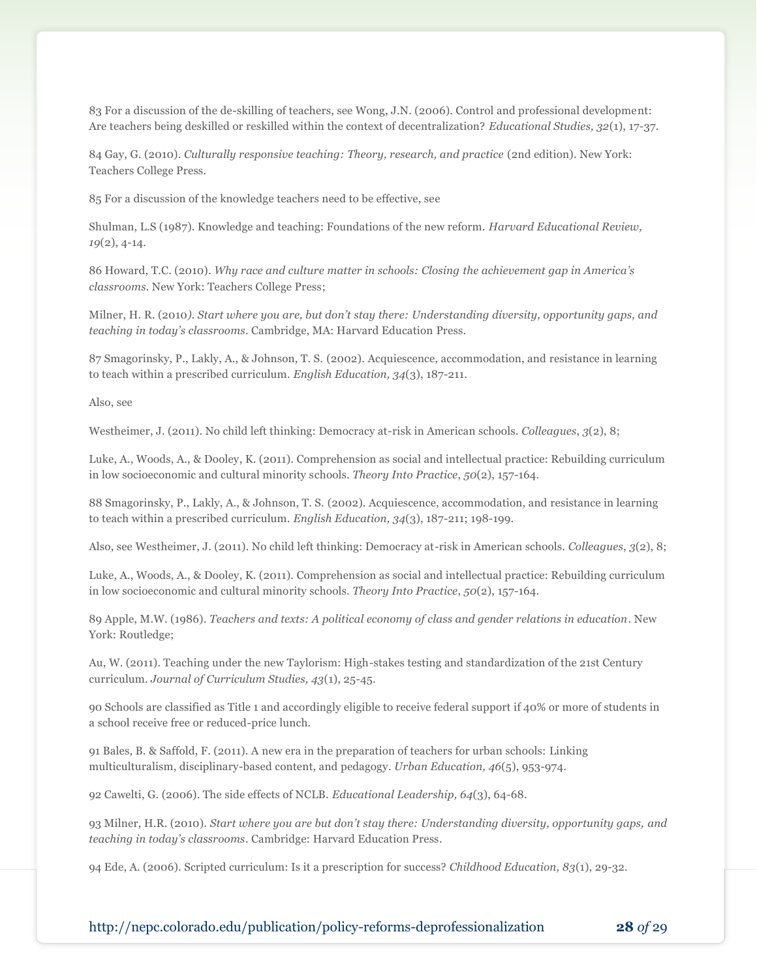83 For a discussion of the de-skilling of teachers, see Wong, J.N. (2006). Control and professional development: Are teachers being deskilled or reskilled within the context of decentralization? *Educational Studies, 32*(1), 17-37.

84 Gay, G. (2010). *Culturally responsive teaching: Theory, research, and practice* (2nd edition). New York: Teachers College Press.

85 For a discussion of the knowledge teachers need to be effective, see

Shulman, L.S (1987). Knowledge and teaching: Foundations of the new reform. *Harvard Educational Review, 19*(2), 4-14.

86 Howard, T.C. (2010). *Why race and culture matter in schools: Closing the achievement gap in America's classrooms*. New York: Teachers College Press;

Milner, H. R. (2010*). Start where you are, but don't stay there: Understanding diversity, opportunity gaps, and teaching in today's classrooms*. Cambridge, MA: Harvard Education Press.

87 Smagorinsky, P., Lakly, A., & Johnson, T. S. (2002). Acquiescence, accommodation, and resistance in learning to teach within a prescribed curriculum. *English Education, 34*(3), 187-211.

Also, see

Westheimer, J. (2011). No child left thinking: Democracy at-risk in American schools. *Colleagues*, *3*(2), 8;

Luke, A., Woods, A., & Dooley, K. (2011). Comprehension as social and intellectual practice: Rebuilding curriculum in low socioeconomic and cultural minority schools. *Theory Into Practice*, *50*(2), 157-164.

88 Smagorinsky, P., Lakly, A., & Johnson, T. S. (2002). Acquiescence, accommodation, and resistance in learning to teach within a prescribed curriculum. *English Education, 34*(3), 187-211; 198-199.

Also, see Westheimer, J. (2011). No child left thinking: Democracy at-risk in American schools. *Colleagues*, *3*(2), 8;

Luke, A., Woods, A., & Dooley, K. (2011). Comprehension as social and intellectual practice: Rebuilding curriculum in low socioeconomic and cultural minority schools. *Theory Into Practice*, *50*(2), 157-164.

89 Apple, M.W. (1986). *Teachers and texts: A political economy of class and gender relations in education*. New York: Routledge;

Au, W. (2011). Teaching under the new Taylorism: High-stakes testing and standardization of the 21st Century curriculum. *Journal of Curriculum Studies, 43*(1), 25-45.

90 Schools are classified as Title 1 and accordingly eligible to receive federal support if 40% or more of students in a school receive free or reduced-price lunch.

91 Bales, B. & Saffold, F. (2011). A new era in the preparation of teachers for urban schools: Linking multiculturalism, disciplinary-based content, and pedagogy. *Urban Education, 46*(5), 953-974.

92 Cawelti, G. (2006). The side effects of NCLB. *Educational Leadership, 64*(3), 64-68.

93 Milner, H.R. (2010). *Start where you are but don't stay there: Understanding diversity, opportunity gaps, and teaching in today's classrooms*. Cambridge: Harvard Education Press.

94 Ede, A. (2006). Scripted curriculum: Is it a prescription for success? *Childhood Education, 83*(1), 29-32.